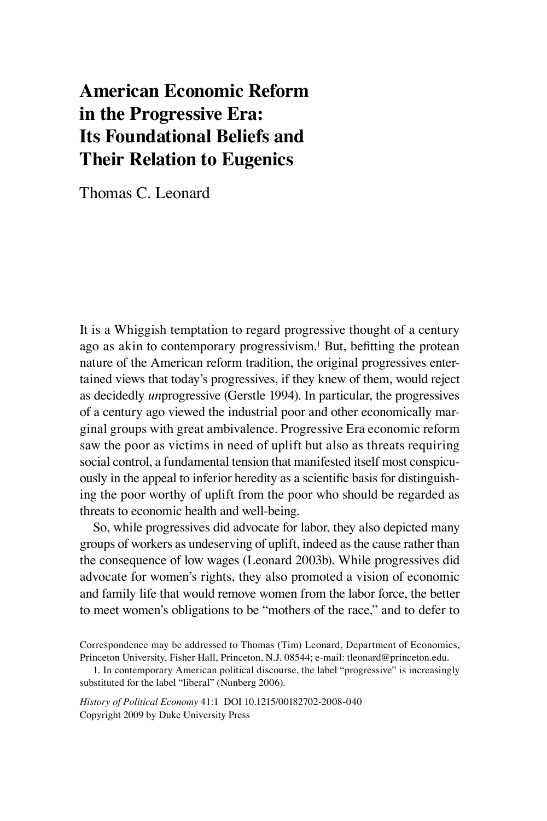# **American Economic Reform in the Progressive Era: Its Foundational Beliefs and Their Relation to Eugenics**

Thomas C. Leonard

It is a Whiggish temptation to regard progressive thought of a century ago as akin to contemporary progressivism.<sup>1</sup> But, befitting the protean nature of the American reform tradition, the original progressives entertained views that today's progressives, if they knew of them, would reject as decidedly *un*progressive (Gerstle 1994). In particular, the progressives of a century ago viewed the industrial poor and other economically marginal groups with great ambivalence. Progressive Era economic reform saw the poor as victims in need of uplift but also as threats requiring social control, a fundamental tension that manifested itself most conspicuously in the appeal to inferior heredity as a scientific basis for distinguishing the poor worthy of uplift from the poor who should be regarded as threats to economic health and well-being.

So, while progressives did advocate for labor, they also depicted many groups of workers as undeserving of uplift, indeed as the cause rather than the consequence of low wages (Leonard 2003b). While progressives did advocate for women's rights, they also promoted a vision of economic and family life that would remove women from the labor force, the better to meet women's obligations to be "mothers of the race," and to defer to

1. In contemporary American political discourse, the label "progressive" is increasingly substituted for the label "liberal" (Nunberg 2006).

*History of Political Economy* 41:1 DOI 10.1215/00182702-2008-040 Copyright 2009 by Duke University Press

Correspondence may be addressed to Thomas (Tim) Leonard, Department of Economics, Princeton University, Fisher Hall, Princeton, N.J. 08544; e-mail: tleonard@princeton.edu.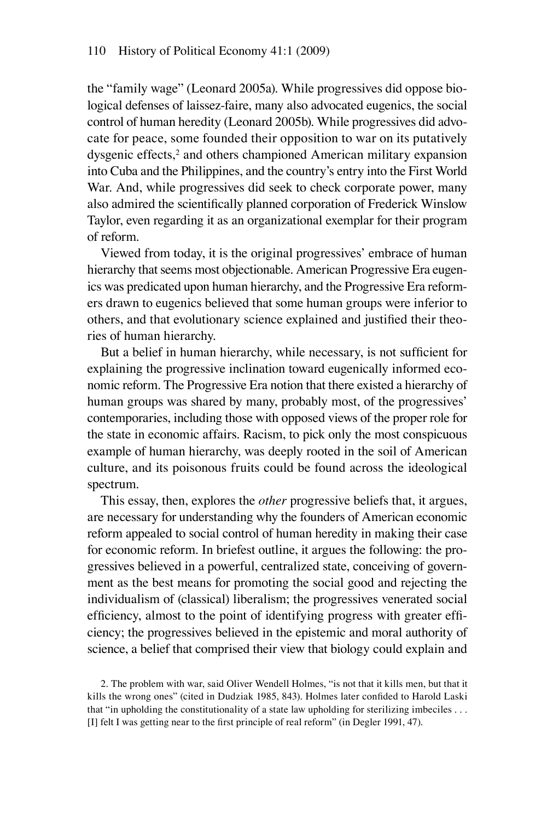the "family wage" (Leonard 2005a). While progressives did oppose biological defenses of laissez-faire, many also advocated eugenics, the social control of human heredity (Leonard 2005b). While progressives did advocate for peace, some founded their opposition to war on its putatively dysgenic effects,<sup>2</sup> and others championed American military expansion into Cuba and the Philippines, and the country's entry into the First World War. And, while progressives did seek to check corporate power, many also admired the scientifically planned corporation of Frederick Winslow Taylor, even regarding it as an organizational exemplar for their program of reform.

Viewed from today, it is the original progressives' embrace of human hierarchy that seems most objectionable. American Progressive Era eugenics was predicated upon human hierarchy, and the Progressive Era reformers drawn to eugenics believed that some human groups were inferior to others, and that evolutionary science explained and justified their theories of human hierarchy.

But a belief in human hierarchy, while necessary, is not sufficient for explaining the progressive inclination toward eugenically informed economic reform. The Progressive Era notion that there existed a hierarchy of human groups was shared by many, probably most, of the progressives' contemporaries, including those with opposed views of the proper role for the state in economic affairs. Racism, to pick only the most conspicuous example of human hierarchy, was deeply rooted in the soil of American culture, and its poisonous fruits could be found across the ideological spectrum.

This essay, then, explores the *other* progressive beliefs that, it argues, are necessary for understanding why the founders of American economic reform appealed to social control of human heredity in making their case for economic reform. In briefest outline, it argues the following: the progressives believed in a powerful, centralized state, conceiving of government as the best means for promoting the social good and rejecting the individualism of (classical) liberalism; the progressives venerated social efficiency, almost to the point of identifying progress with greater efficiency; the progressives believed in the epistemic and moral authority of science, a belief that comprised their view that biology could explain and

2. The problem with war, said Oliver Wendell Holmes, "is not that it kills men, but that it kills the wrong ones" (cited in Dudziak 1985, 843). Holmes later confided to Harold Laski that "in upholding the constitutionality of a state law upholding for sterilizing imbeciles . . . [I] felt I was getting near to the first principle of real reform" (in Degler 1991, 47).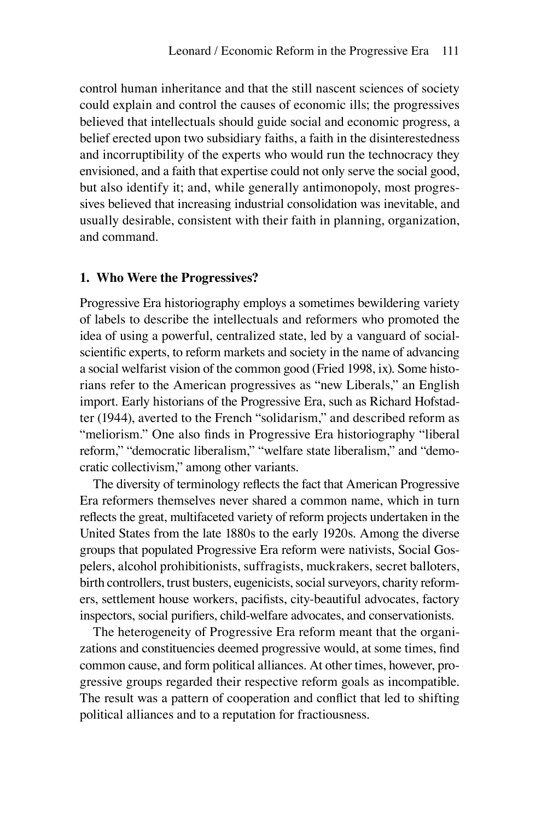control human inheritance and that the still nascent sciences of society could explain and control the causes of economic ills; the progressives believed that intellectuals should guide social and economic progress, a belief erected upon two subsidiary faiths, a faith in the disinterestedness and incorruptibility of the experts who would run the technocracy they envisioned, and a faith that expertise could not only serve the social good, but also identify it; and, while generally antimonopoly, most progressives believed that increasing industrial consolidation was inevitable, and usually desirable, consistent with their faith in planning, organization, and command.

#### **1. Who Were the Progressives?**

Progressive Era historiography employs a sometimes bewildering variety of labels to describe the intellectuals and reformers who promoted the idea of using a powerful, centralized state, led by a vanguard of socialscientific experts, to reform markets and society in the name of advancing a social welfarist vision of the common good (Fried 1998, ix). Some historians refer to the American progressives as "new Liberals," an English import. Early historians of the Progressive Era, such as Richard Hofstadter (1944), averted to the French "solidarism," and described reform as "meliorism." One also finds in Progressive Era historiography "liberal reform," "democratic liberalism," "welfare state liberalism," and "democratic collectivism," among other variants.

The diversity of terminology reflects the fact that American Progressive Era reformers themselves never shared a common name, which in turn reflects the great, multifaceted variety of reform projects undertaken in the United States from the late 1880s to the early 1920s. Among the diverse groups that populated Progressive Era reform were nativists, Social Gospelers, alcohol prohibitionists, suffragists, muckrakers, secret balloters, birth controllers, trust busters, eugenicists, social surveyors, charity reformers, settlement house workers, pacifists, city-beautiful advocates, factory inspectors, social purifiers, child-welfare advocates, and conservationists.

The heterogeneity of Progressive Era reform meant that the organizations and constituencies deemed progressive would, at some times, find common cause, and form political alliances. At other times, however, progressive groups regarded their respective reform goals as incompatible. The result was a pattern of cooperation and conflict that led to shifting political alliances and to a reputation for fractiousness.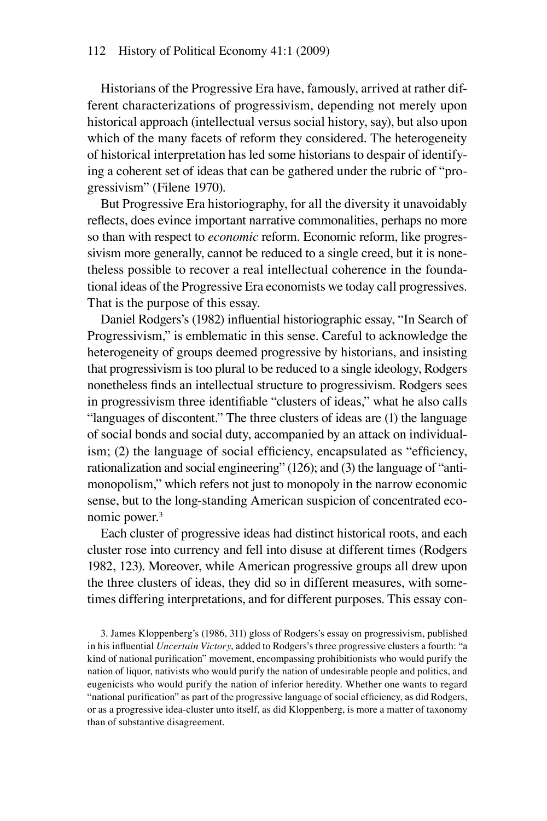Historians of the Progressive Era have, famously, arrived at rather different characterizations of progressivism, depending not merely upon historical approach (intellectual versus social history, say), but also upon which of the many facets of reform they considered. The heterogeneity of historical interpretation has led some historians to despair of identifying a coherent set of ideas that can be gathered under the rubric of "progressivism" (Filene 1970).

But Progressive Era historiography, for all the diversity it unavoidably reflects, does evince important narrative commonalities, perhaps no more so than with respect to *economic* reform. Economic reform, like progressivism more generally, cannot be reduced to a single creed, but it is nonetheless possible to recover a real intellectual coherence in the foundational ideas of the Progressive Era economists we today call progressives. That is the purpose of this essay.

Daniel Rodgers's (1982) influential historiographic essay, "In Search of Progressivism," is emblematic in this sense. Careful to acknowledge the heterogeneity of groups deemed progressive by historians, and insisting that progressivism is too plural to be reduced to a single ideology, Rodgers nonetheless finds an intellectual structure to progressivism. Rodgers sees in progressivism three identifiable "clusters of ideas," what he also calls "languages of discontent." The three clusters of ideas are (1) the language of social bonds and social duty, accompanied by an attack on individualism;  $(2)$  the language of social efficiency, encapsulated as "efficiency, rationalization and social engineering" (126); and (3) the language of "antimonopolism," which refers not just to monopoly in the narrow economic sense, but to the long-standing American suspicion of concentrated economic power.3

Each cluster of progressive ideas had distinct historical roots, and each cluster rose into currency and fell into disuse at different times (Rodgers 1982, 123). Moreover, while American progressive groups all drew upon the three clusters of ideas, they did so in different measures, with sometimes differing interpretations, and for different purposes. This essay con-

3. James Kloppenberg's (1986, 311) gloss of Rodgers's essay on progressivism, published in his influential *Uncertain Victory*, added to Rodgers's three progressive clusters a fourth: "a kind of national purification" movement, encompassing prohibitionists who would purify the nation of liquor, nativists who would purify the nation of undesirable people and politics, and eugenicists who would purify the nation of inferior heredity. Whether one wants to regard "national purification" as part of the progressive language of social efficiency, as did Rodgers, or as a progressive idea-cluster unto itself, as did Kloppenberg, is more a matter of taxonomy than of substantive disagreement.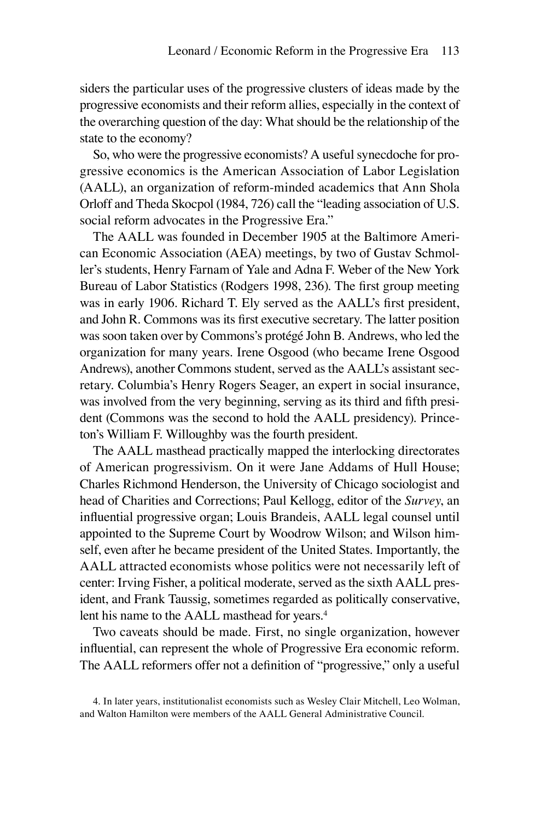siders the particular uses of the progressive clusters of ideas made by the progressive economists and their reform allies, especially in the context of the overarching question of the day: What should be the relationship of the state to the economy?

So, who were the progressive economists? A useful synecdoche for progressive economics is the American Association of Labor Legislation (AALL), an organization of reform-minded academics that Ann Shola Orloff and Theda Skocpol (1984, 726) call the "leading association of U.S. social reform advocates in the Progressive Era."

The AALL was founded in December 1905 at the Baltimore American Economic Association (AEA) meetings, by two of Gustav Schmoller's students, Henry Farnam of Yale and Adna F. Weber of the New York Bureau of Labor Statistics (Rodgers 1998, 236). The first group meeting was in early 1906. Richard T. Ely served as the AALL's first president, and John R. Commons was its first executive secretary. The latter position was soon taken over by Commons's protégé John B. Andrews, who led the organization for many years. Irene Osgood (who became Irene Osgood Andrews), another Commons student, served as the AALL's assistant secretary. Columbia's Henry Rogers Seager, an expert in social insurance, was involved from the very beginning, serving as its third and fifth president (Commons was the second to hold the AALL presidency). Princeton's William F. Willoughby was the fourth president.

The AALL masthead practically mapped the interlocking directorates of American progressivism. On it were Jane Addams of Hull House; Charles Richmond Henderson, the University of Chicago sociologist and head of Charities and Corrections; Paul Kellogg, editor of the *Survey*, an influential progressive organ; Louis Brandeis, AALL legal counsel until appointed to the Supreme Court by Woodrow Wilson; and Wilson himself, even after he became president of the United States. Importantly, the AALL attracted economists whose politics were not necessarily left of center: Irving Fisher, a political moderate, served as the sixth AALL president, and Frank Taussig, sometimes regarded as politically conservative, lent his name to the AALL masthead for years.<sup>4</sup>

Two caveats should be made. First, no single organization, however influential, can represent the whole of Progressive Era economic reform. The AALL reformers offer not a definition of "progressive," only a useful

<sup>4.</sup> In later years, institutionalist economists such as Wesley Clair Mitchell, Leo Wolman, and Walton Hamilton were members of the AALL General Administrative Council.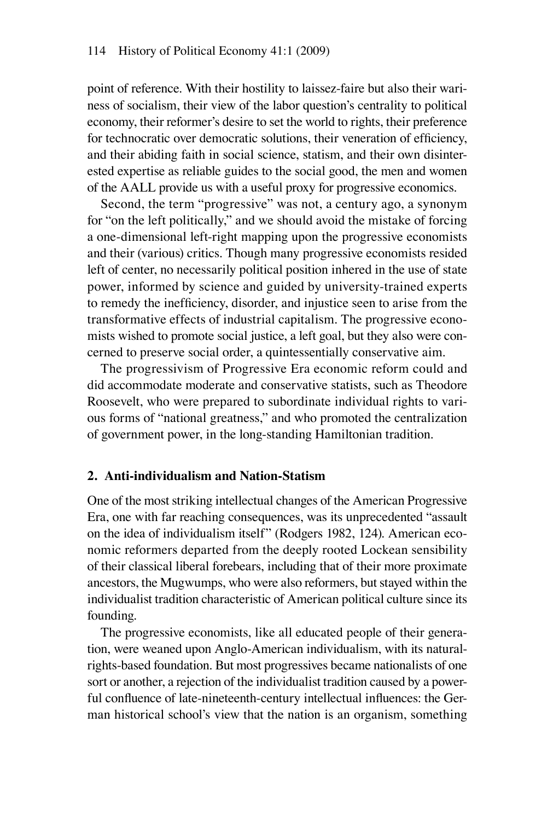point of reference. With their hostility to laissez-faire but also their wariness of socialism, their view of the labor question's centrality to political economy, their reformer's desire to set the world to rights, their preference for technocratic over democratic solutions, their veneration of efficiency, and their abiding faith in social science, statism, and their own disinterested expertise as reliable guides to the social good, the men and women of the AALL provide us with a useful proxy for progressive economics.

Second, the term "progressive" was not, a century ago, a synonym for "on the left politically," and we should avoid the mistake of forcing a one-dimensional left-right mapping upon the progressive economists and their (various) critics. Though many progressive economists resided left of center, no necessarily political position inhered in the use of state power, informed by science and guided by university-trained experts to remedy the inefficiency, disorder, and injustice seen to arise from the transformative effects of industrial capitalism. The progressive economists wished to promote social justice, a left goal, but they also were concerned to preserve social order, a quintessentially conservative aim.

The progressivism of Progressive Era economic reform could and did accommodate moderate and conservative statists, such as Theodore Roosevelt, who were prepared to subordinate individual rights to various forms of "national greatness," and who promoted the centralization of government power, in the long-standing Hamiltonian tradition.

#### **2. Anti-individualism and Nation-Statism**

One of the most striking intellectual changes of the American Progressive Era, one with far reaching consequences, was its unprecedented "assault on the idea of individualism itself" (Rodgers 1982, 124). American economic reformers departed from the deeply rooted Lockean sensibility of their classical liberal forebears, including that of their more proximate ancestors, the Mugwumps, who were also reformers, but stayed within the individualist tradition characteristic of American political culture since its founding.

The progressive economists, like all educated people of their generation, were weaned upon Anglo-American individualism, with its naturalrights-based foundation. But most progressives became nationalists of one sort or another, a rejection of the individualist tradition caused by a powerful confluence of late-nineteenth-century intellectual influences: the German historical school's view that the nation is an organism, something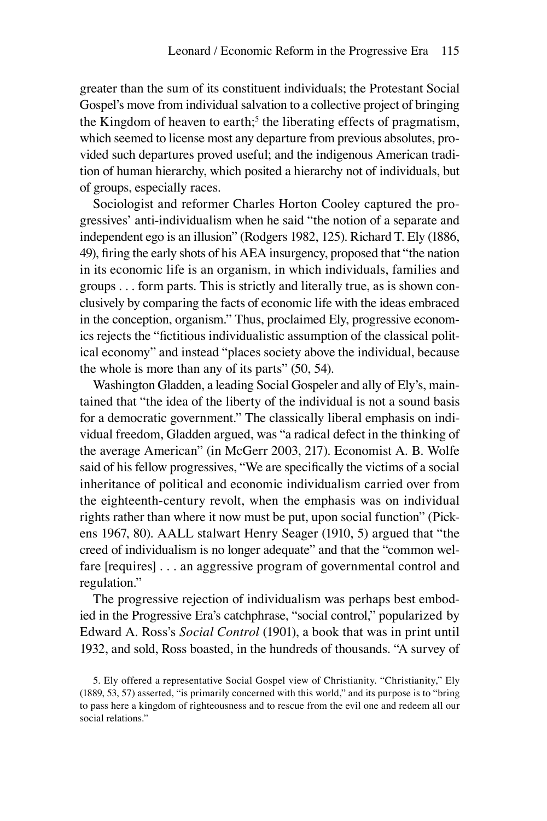greater than the sum of its constituent individuals; the Protestant Social Gospel's move from individual salvation to a collective project of bringing the Kingdom of heaven to earth;<sup>5</sup> the liberating effects of pragmatism, which seemed to license most any departure from previous absolutes, provided such departures proved useful; and the indigenous American tradition of human hierarchy, which posited a hierarchy not of individuals, but of groups, especially races.

Sociologist and reformer Charles Horton Cooley captured the progressives' anti-individualism when he said "the notion of a separate and independent ego is an illusion" (Rodgers 1982, 125). Richard T. Ely (1886, 49), firing the early shots of his AEA insurgency, proposed that "the nation" in its economic life is an organism, in which individuals, families and groups . . . form parts. This is strictly and literally true, as is shown conclusively by comparing the facts of economic life with the ideas embraced in the conception, organism." Thus, proclaimed Ely, progressive economics rejects the "fictitious individualistic assumption of the classical political economy" and instead "places society above the individual, because the whole is more than any of its parts" (50, 54).

Washington Gladden, a leading Social Gospeler and ally of Ely's, maintained that "the idea of the liberty of the individual is not a sound basis for a democratic government." The classically liberal emphasis on individual freedom, Gladden argued, was "a radical defect in the thinking of the average American" (in McGerr 2003, 217). Economist A. B. Wolfe said of his fellow progressives, "We are specifically the victims of a social inheritance of political and economic individualism carried over from the eighteenth-century revolt, when the emphasis was on individual rights rather than where it now must be put, upon social function" (Pickens 1967, 80). AALL stalwart Henry Seager (1910, 5) argued that "the creed of individualism is no longer adequate" and that the "common welfare [requires] . . . an aggressive program of governmental control and regulation."

The progressive rejection of individualism was perhaps best embodied in the Progressive Era's catchphrase, "social control," popularized by Edward A. Ross's *Social Control* (1901), a book that was in print until 1932, and sold, Ross boasted, in the hundreds of thousands. "A survey of

<sup>5.</sup> Ely offered a representative Social Gospel view of Christianity. "Christianity," Ely (1889, 53, 57) asserted, "is primarily concerned with this world," and its purpose is to "bring to pass here a kingdom of righteousness and to rescue from the evil one and redeem all our social relations."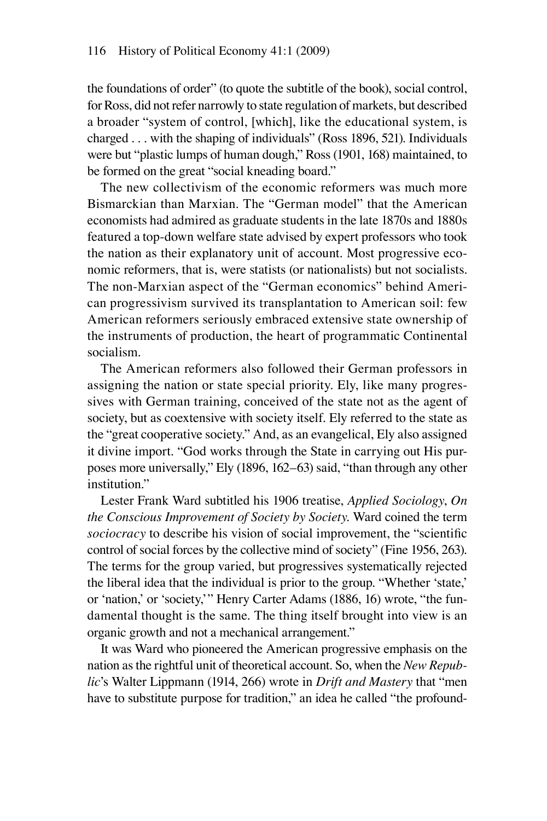the foundations of order" (to quote the subtitle of the book), social control, for Ross, did not refer narrowly to state regulation of markets, but described a broader "system of control, [which], like the educational system, is charged . . . with the shaping of individuals" (Ross 1896, 521). Individuals were but "plastic lumps of human dough," Ross (1901, 168) maintained, to be formed on the great "social kneading board."

The new collectivism of the economic reformers was much more Bismarckian than Marxian. The "German model" that the American economists had admired as graduate students in the late 1870s and 1880s featured a top-down welfare state advised by expert professors who took the nation as their explanatory unit of account. Most progressive economic reformers, that is, were statists (or nationalists) but not socialists. The non-Marxian aspect of the "German economics" behind American progressivism survived its transplantation to American soil: few American reformers seriously embraced extensive state ownership of the instruments of production, the heart of programmatic Continental socialism.

The American reformers also followed their German professors in assigning the nation or state special priority. Ely, like many progressives with German training, conceived of the state not as the agent of society, but as coextensive with society itself. Ely referred to the state as the "great cooperative society." And, as an evangelical, Ely also assigned it divine import. "God works through the State in carrying out His purposes more universally," Ely (1896, 162–63) said, "than through any other institution."

Lester Frank Ward subtitled his 1906 treatise, *Applied Sociology*, *On the Conscious Improvement of Society by Society*. Ward coined the term *sociocracy* to describe his vision of social improvement, the "scientific control of social forces by the collective mind of society" (Fine 1956, 263). The terms for the group varied, but progressives systematically rejected the liberal idea that the individual is prior to the group. "Whether 'state,' or 'nation,' or 'society,'" Henry Carter Adams (1886, 16) wrote, "the fundamental thought is the same. The thing itself brought into view is an organic growth and not a mechanical arrangement."

It was Ward who pioneered the American progressive emphasis on the nation as the rightful unit of theoretical account. So, when the *New Republic*'s Walter Lippmann (1914, 266) wrote in *Drift and Mastery* that "men have to substitute purpose for tradition," an idea he called "the profound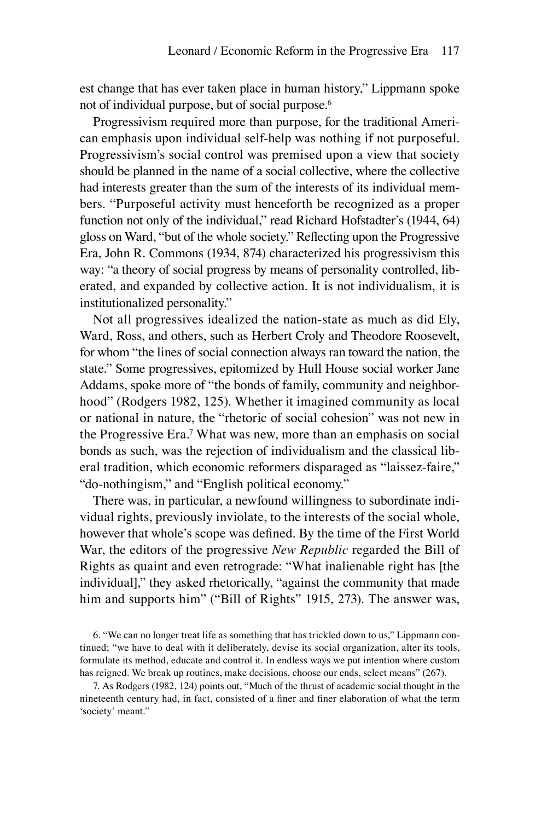est change that has ever taken place in human history," Lippmann spoke not of individual purpose, but of social purpose.<sup>6</sup>

Progressivism required more than purpose, for the traditional American emphasis upon individual self-help was nothing if not purposeful. Progressivism's social control was premised upon a view that society should be planned in the name of a social collective, where the collective had interests greater than the sum of the interests of its individual members. "Purposeful activity must henceforth be recognized as a proper function not only of the individual," read Richard Hofstadter's (1944, 64) gloss on Ward, "but of the whole society." Reflecting upon the Progressive Era, John R. Commons (1934, 874) characterized his progressivism this way: "a theory of social progress by means of personality controlled, liberated, and expanded by collective action. It is not individualism, it is institutionalized personality."

Not all progressives idealized the nation-state as much as did Ely, Ward, Ross, and others, such as Herbert Croly and Theodore Roosevelt, for whom "the lines of social connection always ran toward the nation, the state." Some progressives, epitomized by Hull House social worker Jane Addams, spoke more of "the bonds of family, community and neighborhood" (Rodgers 1982, 125). Whether it imagined community as local or national in nature, the "rhetoric of social cohesion" was not new in the Progressive Era.7 What was new, more than an emphasis on social bonds as such, was the rejection of individualism and the classical liberal tradition, which economic reformers disparaged as "laissez-faire," "do-nothingism," and "English political economy."

There was, in particular, a newfound willingness to subordinate individual rights, previously inviolate, to the interests of the social whole, however that whole's scope was defined. By the time of the First World War, the editors of the progressive *New Republic* regarded the Bill of Rights as quaint and even retrograde: "What inalienable right has [the individual]," they asked rhetorically, "against the community that made him and supports him" ("Bill of Rights" 1915, 273). The answer was,

6. "We can no longer treat life as something that has trickled down to us," Lippmann continued; "we have to deal with it deliberately, devise its social organization, alter its tools, formulate its method, educate and control it. In endless ways we put intention where custom has reigned. We break up routines, make decisions, choose our ends, select means" (267).

7. As Rodgers (1982, 124) points out, "Much of the thrust of academic social thought in the nineteenth century had, in fact, consisted of a finer and finer elaboration of what the term 'society' meant."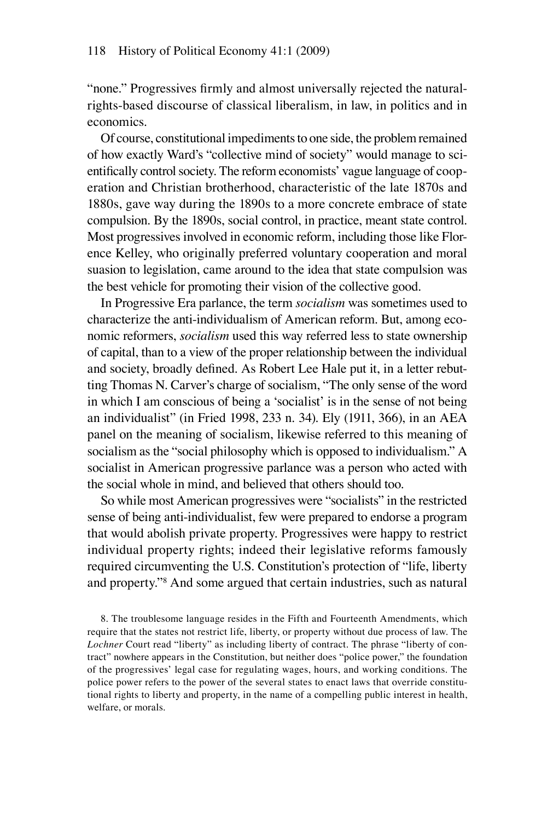"none." Progressives firmly and almost universally rejected the naturalrights-based discourse of classical liberalism, in law, in politics and in economics.

Of course, constitutional impediments to one side, the problem remained of how exactly Ward's "collective mind of society" would manage to scientifically control society. The reform economists' vague language of cooperation and Christian brotherhood, characteristic of the late 1870s and 1880s, gave way during the 1890s to a more concrete embrace of state compulsion. By the 1890s, social control, in practice, meant state control. Most progressives involved in economic reform, including those like Florence Kelley, who originally preferred voluntary cooperation and moral suasion to legislation, came around to the idea that state compulsion was the best vehicle for promoting their vision of the collective good.

In Progressive Era parlance, the term *socialism* was sometimes used to characterize the anti-individualism of American reform. But, among economic reformers, *socialism* used this way referred less to state ownership of capital, than to a view of the proper relationship between the individual and society, broadly defined. As Robert Lee Hale put it, in a letter rebutting Thomas N. Carver's charge of socialism, "The only sense of the word in which I am conscious of being a 'socialist' is in the sense of not being an individualist" (in Fried 1998, 233 n. 34). Ely (1911, 366), in an AEA panel on the meaning of socialism, likewise referred to this meaning of socialism as the "social philosophy which is opposed to individualism." A socialist in American progressive parlance was a person who acted with the social whole in mind, and believed that others should too.

So while most American progressives were "socialists" in the restricted sense of being anti-individualist, few were prepared to endorse a program that would abolish private property. Progressives were happy to restrict individual property rights; indeed their legislative reforms famously required circumventing the U.S. Constitution's protection of "life, liberty and property."8 And some argued that certain industries, such as natural

8. The troublesome language resides in the Fifth and Fourteenth Amendments, which require that the states not restrict life, liberty, or property without due process of law. The *Lochner* Court read "liberty" as including liberty of contract. The phrase "liberty of contract" nowhere appears in the Constitution, but neither does "police power," the foundation of the progressives' legal case for regulating wages, hours, and working conditions. The police power refers to the power of the several states to enact laws that override constitutional rights to liberty and property, in the name of a compelling public interest in health, welfare, or morals.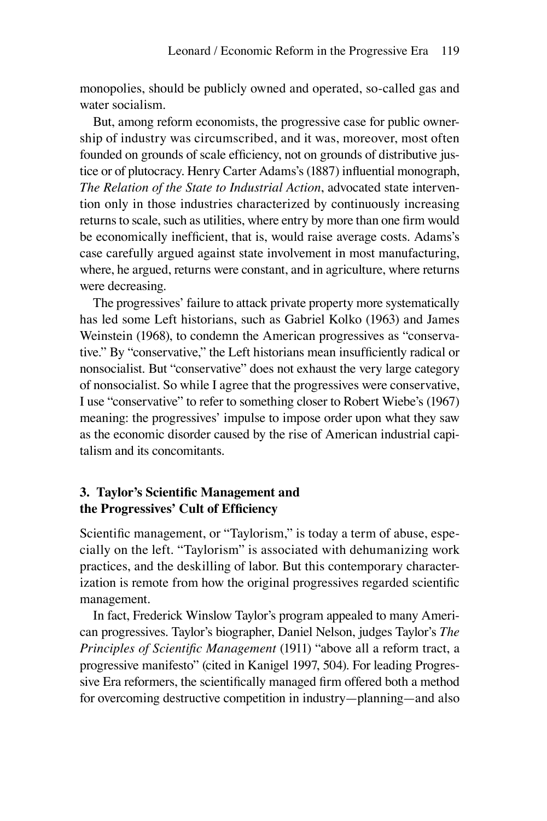monopolies, should be publicly owned and operated, so-called gas and water socialism.

But, among reform economists, the progressive case for public ownership of industry was circumscribed, and it was, moreover, most often founded on grounds of scale efficiency, not on grounds of distributive justice or of plutocracy. Henry Carter Adams's (1887) influential monograph, *The Relation of the State to Industrial Action*, advocated state intervention only in those industries characterized by continuously increasing returns to scale, such as utilities, where entry by more than one firm would be economically inefficient, that is, would raise average costs. Adams's case carefully argued against state involvement in most manufacturing, where, he argued, returns were constant, and in agriculture, where returns were decreasing.

The progressives' failure to attack private property more systematically has led some Left historians, such as Gabriel Kolko (1963) and James Weinstein (1968), to condemn the American progressives as "conservative." By "conservative," the Left historians mean insufficiently radical or nonsocialist. But "conservative" does not exhaust the very large category of nonsocialist. So while I agree that the progressives were conservative, I use "conservative" to refer to something closer to Robert Wiebe's (1967) meaning: the progressives' impulse to impose order upon what they saw as the economic disorder caused by the rise of American industrial capitalism and its concomitants.

## **3. Taylor's Scientific Management and** the Progressives' Cult of Efficiency

Scientific management, or "Taylorism," is today a term of abuse, especially on the left. "Taylorism" is associated with dehumanizing work practices, and the deskilling of labor. But this contemporary characterization is remote from how the original progressives regarded scientific management.

In fact, Frederick Winslow Taylor's program appealed to many American progressives. Taylor's biographer, Daniel Nelson, judges Taylor's *The Principles of Scientific Management* (1911) "above all a reform tract, a progressive manifesto" (cited in Kanigel 1997, 504). For leading Progressive Era reformers, the scientifically managed firm offered both a method for overcoming destructive competition in industry—planning—and also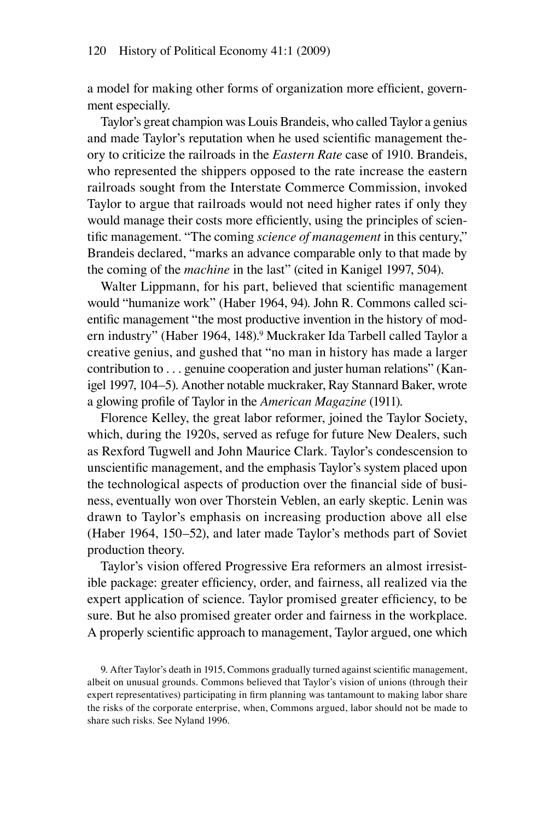a model for making other forms of organization more efficient, government especially.

Taylor's great champion was Louis Brandeis, who called Taylor a genius and made Taylor's reputation when he used scientific management theory to criticize the railroads in the *Eastern Rate* case of 1910. Brandeis, who represented the shippers opposed to the rate increase the eastern railroads sought from the Interstate Commerce Commission, invoked Taylor to argue that railroads would not need higher rates if only they would manage their costs more efficiently, using the principles of scientific management. "The coming *science of management* in this century," Brandeis declared, "marks an advance comparable only to that made by the coming of the *machine* in the last" (cited in Kanigel 1997, 504).

Walter Lippmann, for his part, believed that scientific management would "humanize work" (Haber 1964, 94). John R. Commons called scientific management "the most productive invention in the history of modern industry" (Haber 1964, 148).<sup>9</sup> Muckraker Ida Tarbell called Taylor a creative genius, and gushed that "no man in history has made a larger contribution to . . . genuine cooperation and juster human relations" (Kanigel 1997, 104–5). Another notable muckraker, Ray Stannard Baker, wrote a glowing profile of Taylor in the *American Magazine* (1911).

Florence Kelley, the great labor reformer, joined the Taylor Society, which, during the 1920s, served as refuge for future New Dealers, such as Rexford Tugwell and John Maurice Clark. Taylor's condescension to unscientific management, and the emphasis Taylor's system placed upon the technological aspects of production over the financial side of business, eventually won over Thorstein Veblen, an early skeptic. Lenin was drawn to Taylor's emphasis on increasing production above all else (Haber 1964, 150–52), and later made Taylor's methods part of Soviet production theory.

Taylor's vision offered Progressive Era reformers an almost irresistible package: greater efficiency, order, and fairness, all realized via the expert application of science. Taylor promised greater efficiency, to be sure. But he also promised greater order and fairness in the workplace. A properly scientific approach to management, Taylor argued, one which

9. After Taylor's death in 1915, Commons gradually turned against scientific management, albeit on unusual grounds. Commons believed that Taylor's vision of unions (through their expert representatives) participating in firm planning was tantamount to making labor share the risks of the corporate enterprise, when, Commons argued, labor should not be made to share such risks. See Nyland 1996.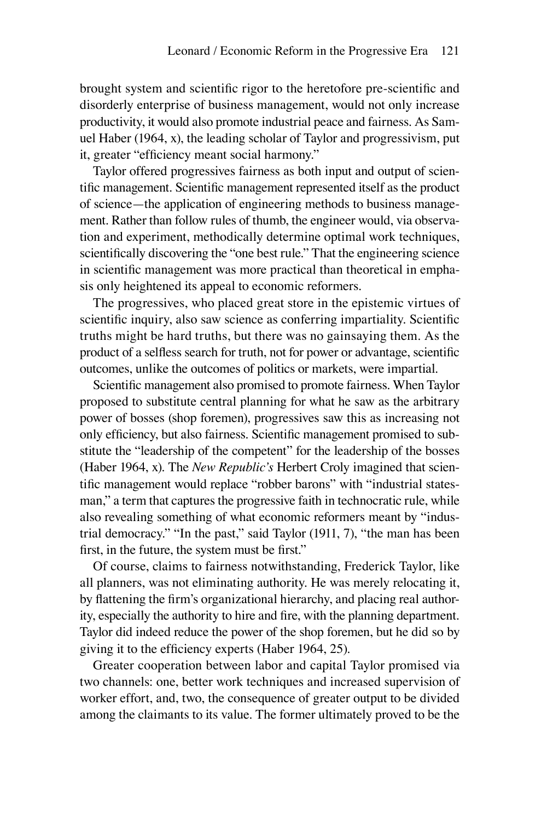brought system and scientific rigor to the heretofore pre-scientific and disorderly enterprise of business management, would not only increase productivity, it would also promote industrial peace and fairness. As Samuel Haber (1964, x), the leading scholar of Taylor and progressivism, put it, greater "efficiency meant social harmony."

Taylor offered progressives fairness as both input and output of scientific management. Scientific management represented itself as the product of science—the application of engineering methods to business management. Rather than follow rules of thumb, the engineer would, via observation and experiment, methodically determine optimal work techniques, scientifically discovering the "one best rule." That the engineering science in scientific management was more practical than theoretical in emphasis only heightened its appeal to economic reformers.

The progressives, who placed great store in the epistemic virtues of scientific inquiry, also saw science as conferring impartiality. Scientific truths might be hard truths, but there was no gainsaying them. As the product of a selfless search for truth, not for power or advantage, scientific outcomes, unlike the outcomes of politics or markets, were impartial.

Scientific management also promised to promote fairness. When Taylor proposed to substitute central planning for what he saw as the arbitrary power of bosses (shop foremen), progressives saw this as increasing not only efficiency, but also fairness. Scientific management promised to substitute the "leadership of the competent" for the leadership of the bosses (Haber 1964, x). The *New Republic's* Herbert Croly imagined that scientific management would replace "robber barons" with "industrial statesman," a term that captures the progressive faith in technocratic rule, while also revealing something of what economic reformers meant by "industrial democracy." "In the past," said Taylor (1911, 7), "the man has been first, in the future, the system must be first."

Of course, claims to fairness notwithstanding, Frederick Taylor, like all planners, was not eliminating authority. He was merely relocating it, by flattening the firm's organizational hierarchy, and placing real authority, especially the authority to hire and fire, with the planning department. Taylor did indeed reduce the power of the shop foremen, but he did so by giving it to the efficiency experts (Haber 1964, 25).

Greater cooperation between labor and capital Taylor promised via two channels: one, better work techniques and increased supervision of worker effort, and, two, the consequence of greater output to be divided among the claimants to its value. The former ultimately proved to be the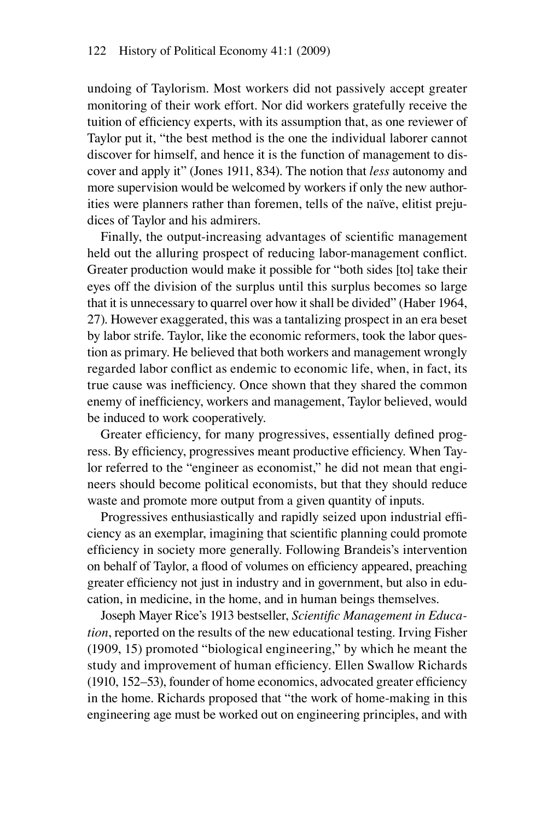undoing of Taylorism. Most workers did not passively accept greater monitoring of their work effort. Nor did workers gratefully receive the tuition of efficiency experts, with its assumption that, as one reviewer of Taylor put it, "the best method is the one the individual laborer cannot discover for himself, and hence it is the function of management to discover and apply it" (Jones 1911, 834). The notion that *less* autonomy and more supervision would be welcomed by workers if only the new authorities were planners rather than foremen, tells of the naïve, elitist prejudices of Taylor and his admirers.

Finally, the output-increasing advantages of scientific management held out the alluring prospect of reducing labor-management conflict. Greater production would make it possible for "both sides [to] take their eyes off the division of the surplus until this surplus becomes so large that it is unnecessary to quarrel over how it shall be divided" (Haber 1964, 27). However exaggerated, this was a tantalizing prospect in an era beset by labor strife. Taylor, like the economic reformers, took the labor question as primary. He believed that both workers and management wrongly regarded labor conflict as endemic to economic life, when, in fact, its true cause was inefficiency. Once shown that they shared the common enemy of inefficiency, workers and management, Taylor believed, would be induced to work cooperatively.

Greater efficiency, for many progressives, essentially defined progress. By efficiency, progressives meant productive efficiency. When Taylor referred to the "engineer as economist," he did not mean that engineers should become political economists, but that they should reduce waste and promote more output from a given quantity of inputs.

Progressives enthusiastically and rapidly seized upon industrial efficiency as an exemplar, imagining that scientific planning could promote efficiency in society more generally. Following Brandeis's intervention on behalf of Taylor, a flood of volumes on efficiency appeared, preaching greater efficiency not just in industry and in government, but also in education, in medicine, in the home, and in human beings themselves.

Joseph Mayer Rice's 1913 bestseller, Scientific Management in Educa*tion*, reported on the results of the new educational testing. Irving Fisher (1909, 15) promoted "biological engineering," by which he meant the study and improvement of human efficiency. Ellen Swallow Richards  $(1910, 152-53)$ , founder of home economics, advocated greater efficiency in the home. Richards proposed that "the work of home-making in this engineering age must be worked out on engineering principles, and with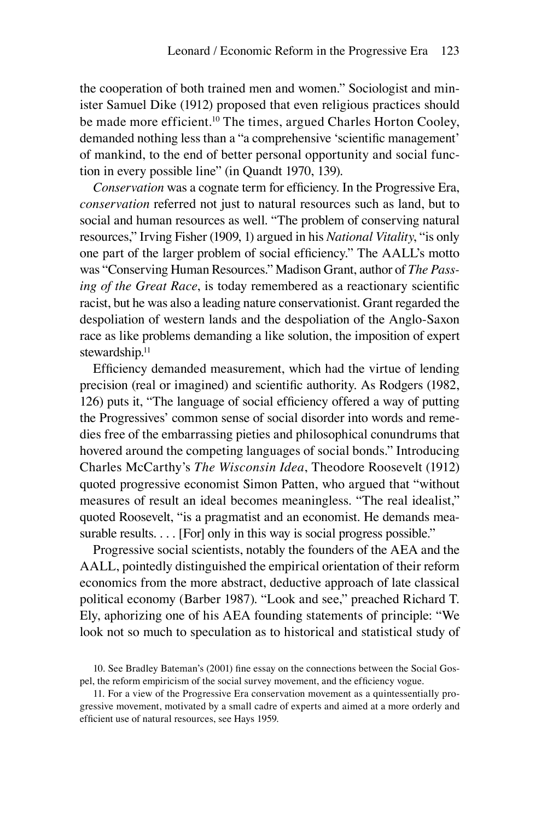the cooperation of both trained men and women." Sociologist and minister Samuel Dike (1912) proposed that even religious practices should be made more efficient.<sup>10</sup> The times, argued Charles Horton Cooley, demanded nothing less than a "a comprehensive 'scientific management' of mankind, to the end of better personal opportunity and social function in every possible line" (in Quandt 1970, 139).

*Conservation* was a cognate term for efficiency. In the Progressive Era, *conservation* referred not just to natural resources such as land, but to social and human resources as well. "The problem of conserving natural resources," Irving Fisher (1909, 1) argued in his *National Vitality*, "is only one part of the larger problem of social efficiency." The AALL's motto was "Conserving Human Resources." Madison Grant, author of *The Passing of the Great Race*, is today remembered as a reactionary scientific racist, but he was also a leading nature conservationist. Grant regarded the despoliation of western lands and the despoliation of the Anglo-Saxon race as like problems demanding a like solution, the imposition of expert stewardship.<sup>11</sup>

Efficiency demanded measurement, which had the virtue of lending precision (real or imagined) and scientific authority. As Rodgers (1982, 126) puts it, "The language of social efficiency offered a way of putting the Progressives' common sense of social disorder into words and remedies free of the embarrassing pieties and philosophical conundrums that hovered around the competing languages of social bonds." Introducing Charles McCarthy's *The Wisconsin Idea*, Theodore Roosevelt (1912) quoted progressive economist Simon Patten, who argued that "without measures of result an ideal becomes meaningless. "The real idealist," quoted Roosevelt, "is a pragmatist and an economist. He demands measurable results. . . . [For] only in this way is social progress possible."

Progressive social scientists, notably the founders of the AEA and the AALL, pointedly distinguished the empirical orientation of their reform economics from the more abstract, deductive approach of late classical political economy (Barber 1987). "Look and see," preached Richard T. Ely, aphorizing one of his AEA founding statements of principle: "We look not so much to speculation as to historical and statistical study of

<sup>10.</sup> See Bradley Bateman's (2001) fine essay on the connections between the Social Gospel, the reform empiricism of the social survey movement, and the efficiency vogue.

<sup>11.</sup> For a view of the Progressive Era conservation movement as a quintessentially progressive movement, motivated by a small cadre of experts and aimed at a more orderly and efficient use of natural resources, see Hays 1959.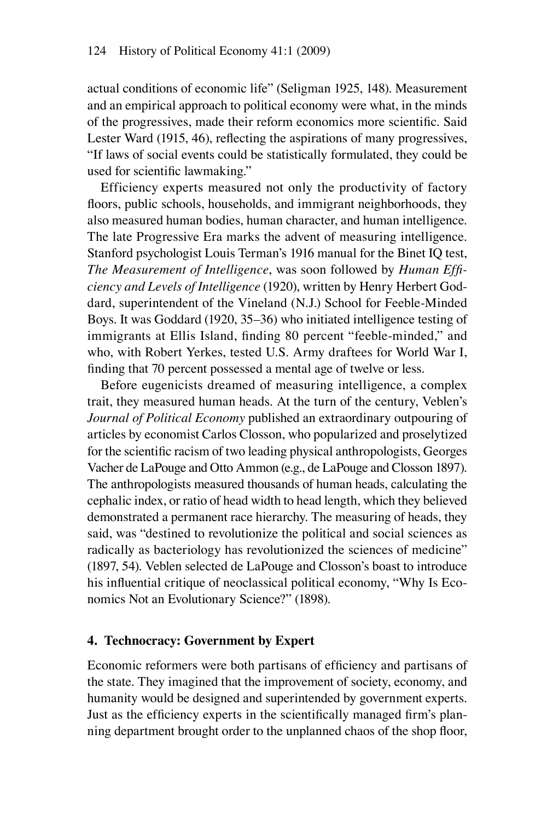actual conditions of economic life" (Seligman 1925, 148). Measurement and an empirical approach to political economy were what, in the minds of the progressives, made their reform economics more scientific. Said Lester Ward (1915, 46), reflecting the aspirations of many progressives, "If laws of social events could be statistically formulated, they could be used for scientific lawmaking."

Efficiency experts measured not only the productivity of factory floors, public schools, households, and immigrant neighborhoods, they also measured human bodies, human character, and human intelligence. The late Progressive Era marks the advent of measuring intelligence. Stanford psychologist Louis Terman's 1916 manual for the Binet IQ test, *The Measurement of Intelligence*, was soon followed by *Human Effi ciency and Levels of Intelligence* (1920), written by Henry Herbert Goddard, superintendent of the Vineland (N.J.) School for Feeble-Minded Boys. It was Goddard (1920, 35–36) who initiated intelligence testing of immigrants at Ellis Island, finding 80 percent "feeble-minded," and who, with Robert Yerkes, tested U.S. Army draftees for World War I, finding that 70 percent possessed a mental age of twelve or less.

Before eugenicists dreamed of measuring intelligence, a complex trait, they measured human heads. At the turn of the century, Veblen's *Journal of Political Economy* published an extraordinary outpouring of articles by economist Carlos Closson, who popularized and proselytized for the scientific racism of two leading physical anthropologists, Georges Vacher de LaPouge and Otto Ammon (e.g., de LaPouge and Closson 1897). The anthropologists measured thousands of human heads, calculating the cephalic index, or ratio of head width to head length, which they believed demonstrated a permanent race hierarchy. The measuring of heads, they said, was "destined to revolutionize the political and social sciences as radically as bacteriology has revolutionized the sciences of medicine" (1897, 54). Veblen selected de LaPouge and Closson's boast to introduce his influential critique of neoclassical political economy, "Why Is Economics Not an Evolutionary Science?" (1898).

#### **4. Technocracy: Government by Expert**

Economic reformers were both partisans of efficiency and partisans of the state. They imagined that the improvement of society, economy, and humanity would be designed and superintended by government experts. Just as the efficiency experts in the scientifically managed firm's planning department brought order to the unplanned chaos of the shop floor,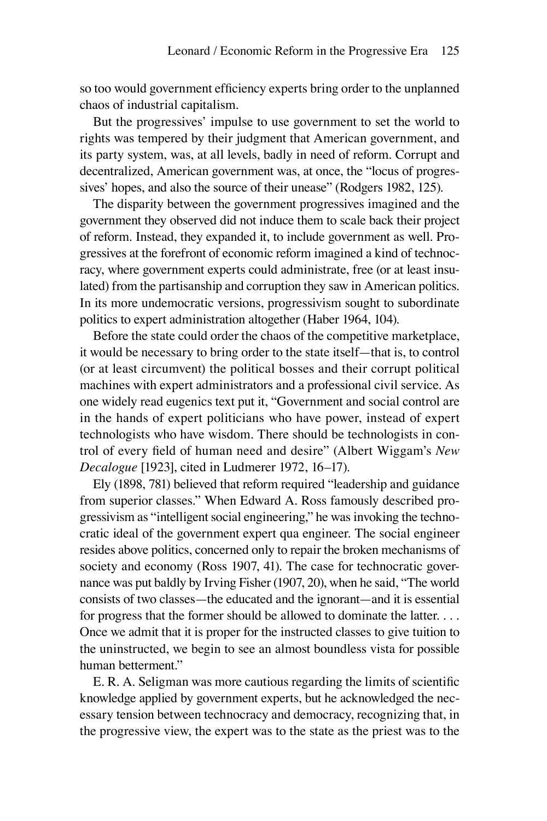so too would government efficiency experts bring order to the unplanned chaos of industrial capitalism.

But the progressives' impulse to use government to set the world to rights was tempered by their judgment that American government, and its party system, was, at all levels, badly in need of reform. Corrupt and decentralized, American government was, at once, the "locus of progressives' hopes, and also the source of their unease" (Rodgers 1982, 125).

The disparity between the government progressives imagined and the government they observed did not induce them to scale back their project of reform. Instead, they expanded it, to include government as well. Progressives at the forefront of economic reform imagined a kind of technocracy, where government experts could administrate, free (or at least insulated) from the partisanship and corruption they saw in American politics. In its more undemocratic versions, progressivism sought to subordinate politics to expert administration altogether (Haber 1964, 104).

Before the state could order the chaos of the competitive marketplace, it would be necessary to bring order to the state itself—that is, to control (or at least circumvent) the political bosses and their corrupt political machines with expert administrators and a professional civil service. As one widely read eugenics text put it, "Government and social control are in the hands of expert politicians who have power, instead of expert technologists who have wisdom. There should be technologists in control of every field of human need and desire" (Albert Wiggam's *New Decalogue* [1923], cited in Ludmerer 1972, 16–17).

Ely (1898, 781) believed that reform required "leadership and guidance from superior classes." When Edward A. Ross famously described progressivism as "intelligent social engineering," he was invoking the technocratic ideal of the government expert qua engineer. The social engineer resides above politics, concerned only to repair the broken mechanisms of society and economy (Ross 1907, 41). The case for technocratic governance was put baldly by Irving Fisher (1907, 20), when he said, "The world consists of two classes—the educated and the ignorant—and it is essential for progress that the former should be allowed to dominate the latter. . . . Once we admit that it is proper for the instructed classes to give tuition to the uninstructed, we begin to see an almost boundless vista for possible human betterment."

E. R. A. Seligman was more cautious regarding the limits of scientific knowledge applied by government experts, but he acknowledged the necessary tension between technocracy and democracy, recognizing that, in the progressive view, the expert was to the state as the priest was to the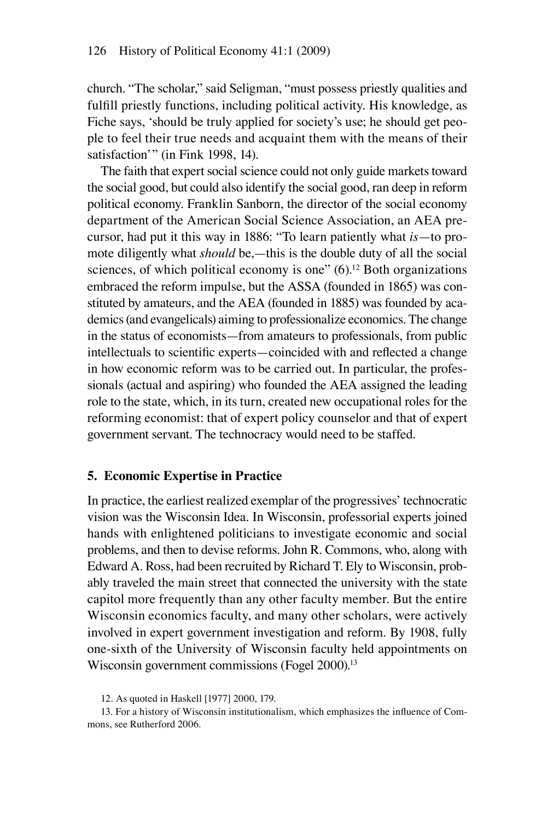church. "The scholar," said Seligman, "must possess priestly qualities and fulfill priestly functions, including political activity. His knowledge, as Fiche says, 'should be truly applied for society's use; he should get people to feel their true needs and acquaint them with the means of their satisfaction'" (in Fink 1998, 14).

The faith that expert social science could not only guide markets toward the social good, but could also identify the social good, ran deep in reform political economy. Franklin Sanborn, the director of the social economy department of the American Social Science Association, an AEA precursor, had put it this way in 1886: "To learn patiently what *is*—to promote diligently what *should* be,—this is the double duty of all the social sciences, of which political economy is one"  $(6)$ .<sup>12</sup> Both organizations embraced the reform impulse, but the ASSA (founded in 1865) was constituted by amateurs, and the AEA (founded in 1885) was founded by academics (and evangelicals) aiming to professionalize economics. The change in the status of economists—from amateurs to professionals, from public intellectuals to scientific experts—coincided with and reflected a change in how economic reform was to be carried out. In particular, the professionals (actual and aspiring) who founded the AEA assigned the leading role to the state, which, in its turn, created new occupational roles for the reforming economist: that of expert policy counselor and that of expert government servant. The technocracy would need to be staffed.

#### **5. Economic Expertise in Practice**

In practice, the earliest realized exemplar of the progressives' technocratic vision was the Wisconsin Idea. In Wisconsin, professorial experts joined hands with enlightened politicians to investigate economic and social problems, and then to devise reforms. John R. Commons, who, along with Edward A. Ross, had been recruited by Richard T. Ely to Wisconsin, probably traveled the main street that connected the university with the state capitol more frequently than any other faculty member. But the entire Wisconsin economics faculty, and many other scholars, were actively involved in expert government investigation and reform. By 1908, fully one-sixth of the University of Wisconsin faculty held appointments on Wisconsin government commissions (Fogel 2000).<sup>13</sup>

<sup>12.</sup> As quoted in Haskell [1977] 2000, 179.

<sup>13.</sup> For a history of Wisconsin institutionalism, which emphasizes the influence of Commons, see Rutherford 2006.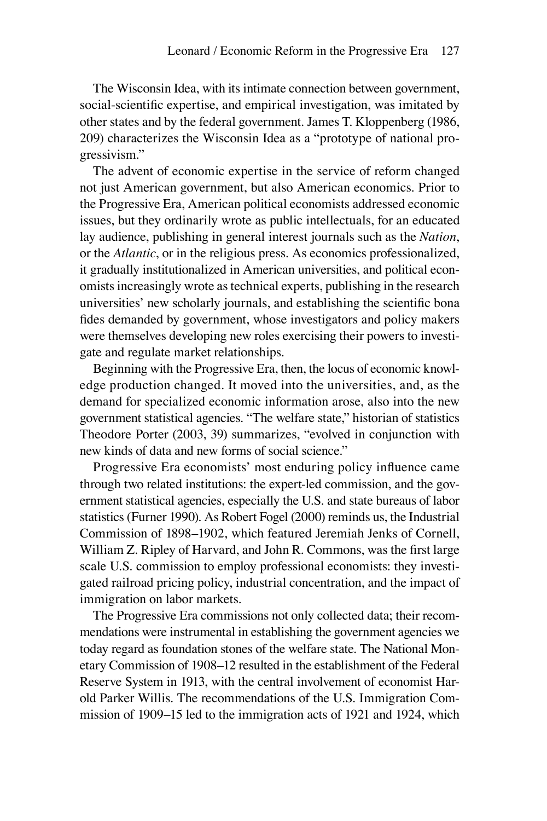The Wisconsin Idea, with its intimate connection between government, social-scientific expertise, and empirical investigation, was imitated by other states and by the federal government. James T. Kloppenberg (1986, 209) characterizes the Wisconsin Idea as a "prototype of national progressivism."

The advent of economic expertise in the service of reform changed not just American government, but also American economics. Prior to the Progressive Era, American political economists addressed economic issues, but they ordinarily wrote as public intellectuals, for an educated lay audience, publishing in general interest journals such as the *Nation*, or the *Atlantic*, or in the religious press. As economics professionalized, it gradually institutionalized in American universities, and political economists increasingly wrote as technical experts, publishing in the research universities' new scholarly journals, and establishing the scientific bona fides demanded by government, whose investigators and policy makers were themselves developing new roles exercising their powers to investigate and regulate market relationships.

Beginning with the Progressive Era, then, the locus of economic knowledge production changed. It moved into the universities, and, as the demand for specialized economic information arose, also into the new government statistical agencies. "The welfare state," historian of statistics Theodore Porter (2003, 39) summarizes, "evolved in conjunction with new kinds of data and new forms of social science."

Progressive Era economists' most enduring policy influence came through two related institutions: the expert-led commission, and the government statistical agencies, especially the U.S. and state bureaus of labor statistics (Furner 1990). As Robert Fogel (2000) reminds us, the Industrial Commission of 1898–1902, which featured Jeremiah Jenks of Cornell, William Z. Ripley of Harvard, and John R. Commons, was the first large scale U.S. commission to employ professional economists: they investigated railroad pricing policy, industrial concentration, and the impact of immigration on labor markets.

The Progressive Era commissions not only collected data; their recommendations were instrumental in establishing the government agencies we today regard as foundation stones of the welfare state. The National Monetary Commission of 1908–12 resulted in the establishment of the Federal Reserve System in 1913, with the central involvement of economist Harold Parker Willis. The recommendations of the U.S. Immigration Commission of 1909–15 led to the immigration acts of 1921 and 1924, which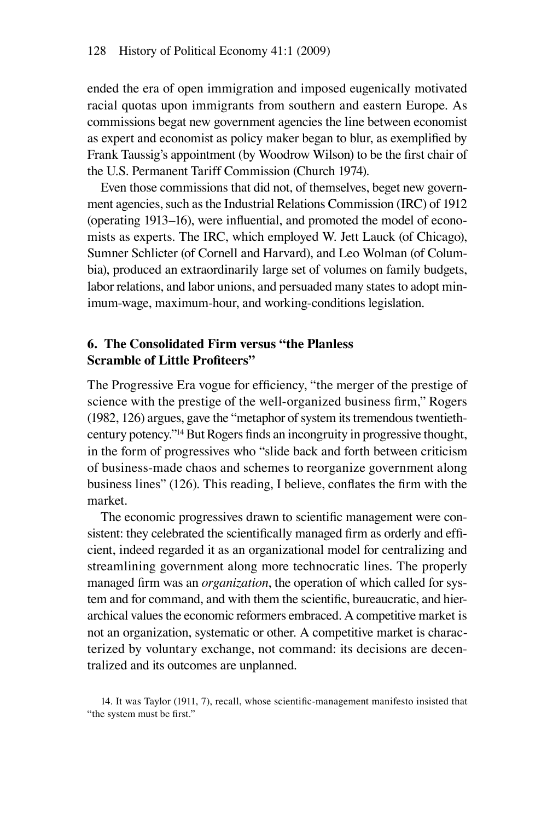ended the era of open immigration and imposed eugenically motivated racial quotas upon immigrants from southern and eastern Europe. As commissions begat new government agencies the line between economist as expert and economist as policy maker began to blur, as exemplified by Frank Taussig's appointment (by Woodrow Wilson) to be the first chair of the U.S. Permanent Tariff Commission (Church 1974).

Even those commissions that did not, of themselves, beget new government agencies, such as the Industrial Relations Commission (IRC) of 1912 (operating 1913–16), were influential, and promoted the model of economists as experts. The IRC, which employed W. Jett Lauck (of Chicago), Sumner Schlicter (of Cornell and Harvard), and Leo Wolman (of Columbia), produced an extraordinarily large set of volumes on family budgets, labor relations, and labor unions, and persuaded many states to adopt minimum-wage, maximum-hour, and working-conditions legislation.

## **6. The Consolidated Firm versus "the Planless Scramble of Little Profiteers"**

The Progressive Era vogue for efficiency, "the merger of the prestige of science with the prestige of the well-organized business firm," Rogers (1982, 126) argues, gave the "metaphor of system its tremendous twentiethcentury potency."<sup>14</sup> But Rogers finds an incongruity in progressive thought, in the form of progressives who "slide back and forth between criticism of business-made chaos and schemes to reorganize government along business lines" (126). This reading, I believe, conflates the firm with the market.

The economic progressives drawn to scientific management were consistent: they celebrated the scientifically managed firm as orderly and efficient, indeed regarded it as an organizational model for centralizing and streamlining government along more technocratic lines. The properly managed firm was an *organization*, the operation of which called for system and for command, and with them the scientific, bureaucratic, and hierarchical values the economic reformers embraced. A competitive market is not an organization, systematic or other. A competitive market is characterized by voluntary exchange, not command: its decisions are decentralized and its outcomes are unplanned.

<sup>14.</sup> It was Taylor (1911, 7), recall, whose scientific-management manifesto insisted that "the system must be first."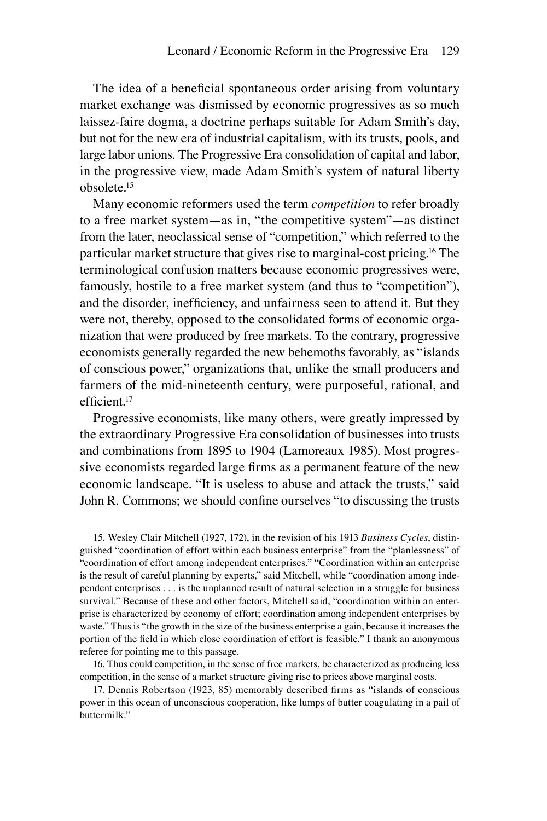The idea of a beneficial spontaneous order arising from voluntary market exchange was dismissed by economic progressives as so much laissez-faire dogma, a doctrine perhaps suitable for Adam Smith's day, but not for the new era of industrial capitalism, with its trusts, pools, and large labor unions. The Progressive Era consolidation of capital and labor, in the progressive view, made Adam Smith's system of natural liberty obsolete.15

Many economic reformers used the term *competition* to refer broadly to a free market system—as in, "the competitive system"—as distinct from the later, neoclassical sense of "competition," which referred to the particular market structure that gives rise to marginal-cost pricing.16 The terminological confusion matters because economic progressives were, famously, hostile to a free market system (and thus to "competition"), and the disorder, inefficiency, and unfairness seen to attend it. But they were not, thereby, opposed to the consolidated forms of economic organization that were produced by free markets. To the contrary, progressive economists generally regarded the new behemoths favorably, as "islands of conscious power," organizations that, unlike the small producers and farmers of the mid-nineteenth century, were purposeful, rational, and efficient.<sup>17</sup>

Progressive economists, like many others, were greatly impressed by the extraordinary Progressive Era consolidation of businesses into trusts and combinations from 1895 to 1904 (Lamoreaux 1985). Most progressive economists regarded large firms as a permanent feature of the new economic landscape. "It is useless to abuse and attack the trusts," said John R. Commons; we should confine ourselves "to discussing the trusts

15. Wesley Clair Mitchell (1927, 172), in the revision of his 1913 *Business Cycles*, distinguished "coordination of effort within each business enterprise" from the "planlessness" of "coordination of effort among independent enterprises." "Coordination within an enterprise is the result of careful planning by experts," said Mitchell, while "coordination among independent enterprises . . . is the unplanned result of natural selection in a struggle for business survival." Because of these and other factors, Mitchell said, "coordination within an enterprise is characterized by economy of effort; coordination among independent enterprises by waste." Thus is "the growth in the size of the business enterprise a gain, because it increases the portion of the field in which close coordination of effort is feasible." I thank an anonymous referee for pointing me to this passage.

16. Thus could competition, in the sense of free markets, be characterized as producing less competition, in the sense of a market structure giving rise to prices above marginal costs.

17. Dennis Robertson (1923, 85) memorably described firms as "islands of conscious power in this ocean of unconscious cooperation, like lumps of butter coagulating in a pail of buttermilk."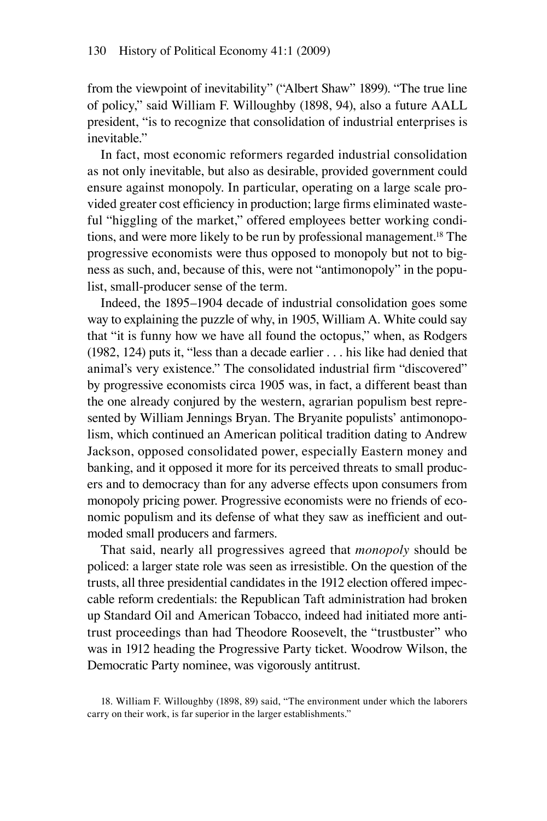from the viewpoint of inevitability" ("Albert Shaw" 1899). "The true line of policy," said William F. Willoughby (1898, 94), also a future AALL president, "is to recognize that consolidation of industrial enterprises is inevitable."

In fact, most economic reformers regarded industrial consolidation as not only inevitable, but also as desirable, provided government could ensure against monopoly. In particular, operating on a large scale provided greater cost efficiency in production; large firms eliminated wasteful "higgling of the market," offered employees better working conditions, and were more likely to be run by professional management.18 The progressive economists were thus opposed to monopoly but not to bigness as such, and, because of this, were not "antimonopoly" in the populist, small-producer sense of the term.

Indeed, the 1895–1904 decade of industrial consolidation goes some way to explaining the puzzle of why, in 1905, William A. White could say that "it is funny how we have all found the octopus," when, as Rodgers (1982, 124) puts it, "less than a decade earlier . . . his like had denied that animal's very existence." The consolidated industrial firm "discovered" by progressive economists circa 1905 was, in fact, a different beast than the one already conjured by the western, agrarian populism best represented by William Jennings Bryan. The Bryanite populists' antimonopolism, which continued an American political tradition dating to Andrew Jackson, opposed consolidated power, especially Eastern money and banking, and it opposed it more for its perceived threats to small producers and to democracy than for any adverse effects upon consumers from monopoly pricing power. Progressive economists were no friends of economic populism and its defense of what they saw as inefficient and outmoded small producers and farmers.

That said, nearly all progressives agreed that *monopoly* should be policed: a larger state role was seen as irresistible. On the question of the trusts, all three presidential candidates in the 1912 election offered impeccable reform credentials: the Republican Taft administration had broken up Standard Oil and American Tobacco, indeed had initiated more antitrust proceedings than had Theodore Roosevelt, the "trustbuster" who was in 1912 heading the Progressive Party ticket. Woodrow Wilson, the Democratic Party nominee, was vigorously antitrust.

<sup>18.</sup> William F. Willoughby (1898, 89) said, "The environment under which the laborers carry on their work, is far superior in the larger establishments."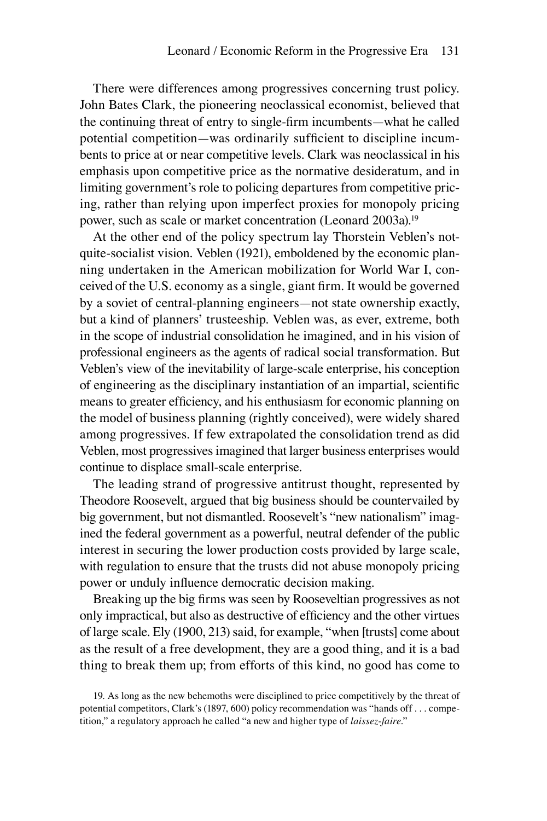There were differences among progressives concerning trust policy. John Bates Clark, the pioneering neoclassical economist, believed that the continuing threat of entry to single-firm incumbents—what he called potential competition—was ordinarily sufficient to discipline incumbents to price at or near competitive levels. Clark was neoclassical in his emphasis upon competitive price as the normative desideratum, and in limiting government's role to policing departures from competitive pricing, rather than relying upon imperfect proxies for monopoly pricing power, such as scale or market concentration (Leonard 2003a).19

At the other end of the policy spectrum lay Thorstein Veblen's notquite-socialist vision. Veblen (1921), emboldened by the economic planning undertaken in the American mobilization for World War I, conceived of the U.S. economy as a single, giant firm. It would be governed by a soviet of central-planning engineers—not state ownership exactly, but a kind of planners' trusteeship. Veblen was, as ever, extreme, both in the scope of industrial consolidation he imagined, and in his vision of professional engineers as the agents of radical social transformation. But Veblen's view of the inevitability of large-scale enterprise, his conception of engineering as the disciplinary instantiation of an impartial, scientific means to greater efficiency, and his enthusiasm for economic planning on the model of business planning (rightly conceived), were widely shared among progressives. If few extrapolated the consolidation trend as did Veblen, most progressives imagined that larger business enterprises would continue to displace small-scale enterprise.

The leading strand of progressive antitrust thought, represented by Theodore Roosevelt, argued that big business should be countervailed by big government, but not dismantled. Roosevelt's "new nationalism" imagined the federal government as a powerful, neutral defender of the public interest in securing the lower production costs provided by large scale, with regulation to ensure that the trusts did not abuse monopoly pricing power or unduly influence democratic decision making.

Breaking up the big firms was seen by Rooseveltian progressives as not only impractical, but also as destructive of efficiency and the other virtues of large scale. Ely (1900, 213) said, for example, "when [trusts] come about as the result of a free development, they are a good thing, and it is a bad thing to break them up; from efforts of this kind, no good has come to

<sup>19.</sup> As long as the new behemoths were disciplined to price competitively by the threat of potential competitors, Clark's (1897, 600) policy recommendation was "hands off . . . competition," a regulatory approach he called "a new and higher type of *laissez-faire*."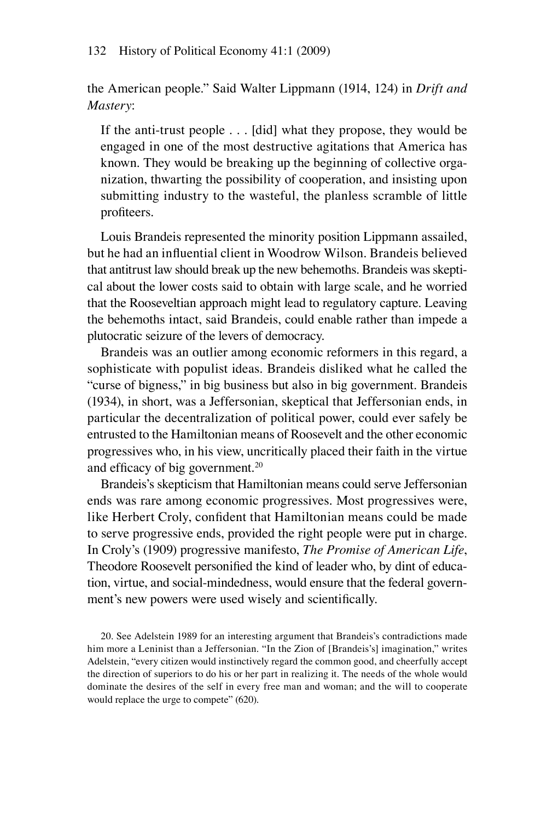the American people." Said Walter Lippmann (1914, 124) in *Drift and Mastery*:

If the anti-trust people . . . [did] what they propose, they would be engaged in one of the most destructive agitations that America has known. They would be breaking up the beginning of collective organization, thwarting the possibility of cooperation, and insisting upon submitting industry to the wasteful, the planless scramble of little profiteers.

Louis Brandeis represented the minority position Lippmann assailed, but he had an influential client in Woodrow Wilson. Brandeis believed that antitrust law should break up the new behemoths. Brandeis was skeptical about the lower costs said to obtain with large scale, and he worried that the Rooseveltian approach might lead to regulatory capture. Leaving the behemoths intact, said Brandeis, could enable rather than impede a plutocratic seizure of the levers of democracy.

Brandeis was an outlier among economic reformers in this regard, a sophisticate with populist ideas. Brandeis disliked what he called the "curse of bigness," in big business but also in big government. Brandeis (1934), in short, was a Jeffersonian, skeptical that Jeffersonian ends, in particular the decentralization of political power, could ever safely be entrusted to the Hamiltonian means of Roosevelt and the other economic progressives who, in his view, uncritically placed their faith in the virtue and efficacy of big government.<sup>20</sup>

Brandeis's skepticism that Hamiltonian means could serve Jeffersonian ends was rare among economic progressives. Most progressives were, like Herbert Croly, confident that Hamiltonian means could be made to serve progressive ends, provided the right people were put in charge. In Croly's (1909) progressive manifesto, *The Promise of American Life*, Theodore Roosevelt personified the kind of leader who, by dint of education, virtue, and social-mindedness, would ensure that the federal government's new powers were used wisely and scientifically.

20. See Adelstein 1989 for an interesting argument that Brandeis's contradictions made him more a Leninist than a Jeffersonian. "In the Zion of [Brandeis's] imagination," writes Adelstein, "every citizen would instinctively regard the common good, and cheerfully accept the direction of superiors to do his or her part in realizing it. The needs of the whole would dominate the desires of the self in every free man and woman; and the will to cooperate would replace the urge to compete" (620).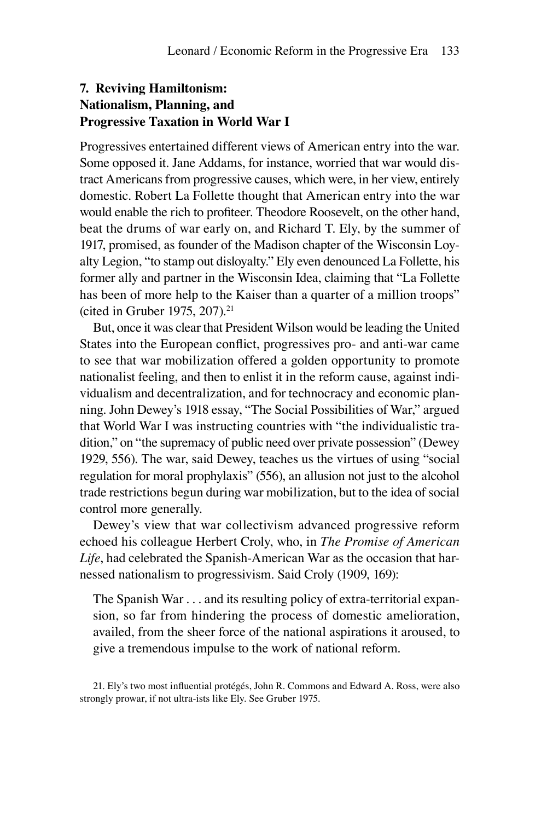## **7. Reviving Hamiltonism: Nationalism, Planning, and Progressive Taxation in World War I**

Progressives entertained different views of American entry into the war. Some opposed it. Jane Addams, for instance, worried that war would distract Americans from progressive causes, which were, in her view, entirely domestic. Robert La Follette thought that American entry into the war would enable the rich to profiteer. Theodore Roosevelt, on the other hand, beat the drums of war early on, and Richard T. Ely, by the summer of 1917, promised, as founder of the Madison chapter of the Wisconsin Loyalty Legion, "to stamp out disloyalty." Ely even denounced La Follette, his former ally and partner in the Wisconsin Idea, claiming that "La Follette has been of more help to the Kaiser than a quarter of a million troops" (cited in Gruber 1975, 207).21

But, once it was clear that President Wilson would be leading the United States into the European conflict, progressives pro- and anti-war came to see that war mobilization offered a golden opportunity to promote nationalist feeling, and then to enlist it in the reform cause, against individualism and decentralization, and for technocracy and economic planning. John Dewey's 1918 essay, "The Social Possibilities of War," argued that World War I was instructing countries with "the individualistic tradition," on "the supremacy of public need over private possession" (Dewey 1929, 556). The war, said Dewey, teaches us the virtues of using "social regulation for moral prophylaxis" (556), an allusion not just to the alcohol trade restrictions begun during war mobilization, but to the idea of social control more generally.

Dewey's view that war collectivism advanced progressive reform echoed his colleague Herbert Croly, who, in *The Promise of American Life*, had celebrated the Spanish-American War as the occasion that harnessed nationalism to progressivism. Said Croly (1909, 169):

The Spanish War . . . and its resulting policy of extra-territorial expansion, so far from hindering the process of domestic amelioration, availed, from the sheer force of the national aspirations it aroused, to give a tremendous impulse to the work of national reform.

21. Ely's two most influential protégés, John R. Commons and Edward A. Ross, were also strongly prowar, if not ultra-ists like Ely. See Gruber 1975.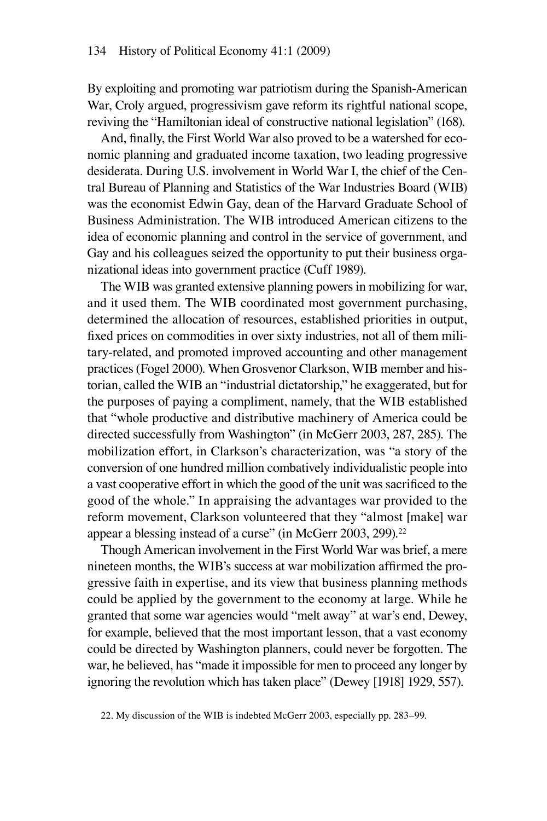By exploiting and promoting war patriotism during the Spanish-American War, Croly argued, progressivism gave reform its rightful national scope, reviving the "Hamiltonian ideal of constructive national legislation" (168).

And, finally, the First World War also proved to be a watershed for economic planning and graduated income taxation, two leading progressive desiderata. During U.S. involvement in World War I, the chief of the Central Bureau of Planning and Statistics of the War Industries Board (WIB) was the economist Edwin Gay, dean of the Harvard Graduate School of Business Administration. The WIB introduced American citizens to the idea of economic planning and control in the service of government, and Gay and his colleagues seized the opportunity to put their business organizational ideas into government practice (Cuff 1989).

The WIB was granted extensive planning powers in mobilizing for war, and it used them. The WIB coordinated most government purchasing, determined the allocation of resources, established priorities in output, fixed prices on commodities in over sixty industries, not all of them military-related, and promoted improved accounting and other management practices (Fogel 2000). When Grosvenor Clarkson, WIB member and historian, called the WIB an "industrial dictatorship," he exaggerated, but for the purposes of paying a compliment, namely, that the WIB established that "whole productive and distributive machinery of America could be directed successfully from Washington" (in McGerr 2003, 287, 285). The mobilization effort, in Clarkson's characterization, was "a story of the conversion of one hundred million combatively individualistic people into a vast cooperative effort in which the good of the unit was sacrificed to the good of the whole." In appraising the advantages war provided to the reform movement, Clarkson volunteered that they "almost [make] war appear a blessing instead of a curse" (in McGerr 2003, 299).<sup>22</sup>

Though American involvement in the First World War was brief, a mere nineteen months, the WIB's success at war mobilization affirmed the progressive faith in expertise, and its view that business planning methods could be applied by the government to the economy at large. While he granted that some war agencies would "melt away" at war's end, Dewey, for example, believed that the most important lesson, that a vast economy could be directed by Washington planners, could never be forgotten. The war, he believed, has "made it impossible for men to proceed any longer by ignoring the revolution which has taken place" (Dewey [1918] 1929, 557).

22. My discussion of the WIB is indebted McGerr 2003, especially pp. 283–99.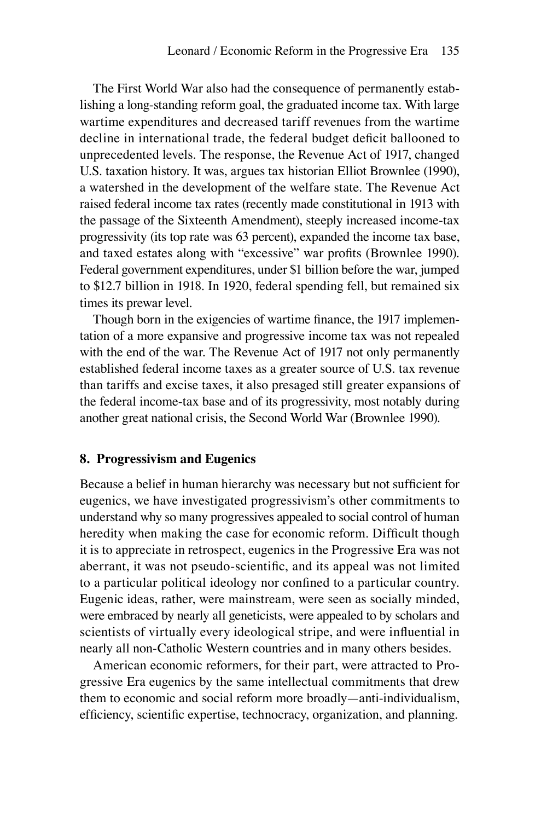The First World War also had the consequence of permanently establishing a long-standing reform goal, the graduated income tax. With large wartime expenditures and decreased tariff revenues from the wartime decline in international trade, the federal budget deficit ballooned to unprecedented levels. The response, the Revenue Act of 1917, changed U.S. taxation history. It was, argues tax historian Elliot Brownlee (1990), a watershed in the development of the welfare state. The Revenue Act raised federal income tax rates (recently made constitutional in 1913 with the passage of the Sixteenth Amendment), steeply increased income-tax progressivity (its top rate was 63 percent), expanded the income tax base, and taxed estates along with "excessive" war profits (Brownlee 1990). Federal government expenditures, under \$1 billion before the war, jumped to \$12.7 billion in 1918. In 1920, federal spending fell, but remained six times its prewar level.

Though born in the exigencies of wartime finance, the 1917 implementation of a more expansive and progressive income tax was not repealed with the end of the war. The Revenue Act of 1917 not only permanently established federal income taxes as a greater source of U.S. tax revenue than tariffs and excise taxes, it also presaged still greater expansions of the federal income-tax base and of its progressivity, most notably during another great national crisis, the Second World War (Brownlee 1990).

#### **8. Progressivism and Eugenics**

Because a belief in human hierarchy was necessary but not sufficient for eugenics, we have investigated progressivism's other commitments to understand why so many progressives appealed to social control of human heredity when making the case for economic reform. Difficult though it is to appreciate in retrospect, eugenics in the Progressive Era was not aberrant, it was not pseudo-scientific, and its appeal was not limited to a particular political ideology nor confined to a particular country. Eugenic ideas, rather, were mainstream, were seen as socially minded, were embraced by nearly all geneticists, were appealed to by scholars and scientists of virtually every ideological stripe, and were influential in nearly all non-Catholic Western countries and in many others besides.

American economic reformers, for their part, were attracted to Progressive Era eugenics by the same intellectual commitments that drew them to economic and social reform more broadly—anti-individualism, efficiency, scientific expertise, technocracy, organization, and planning.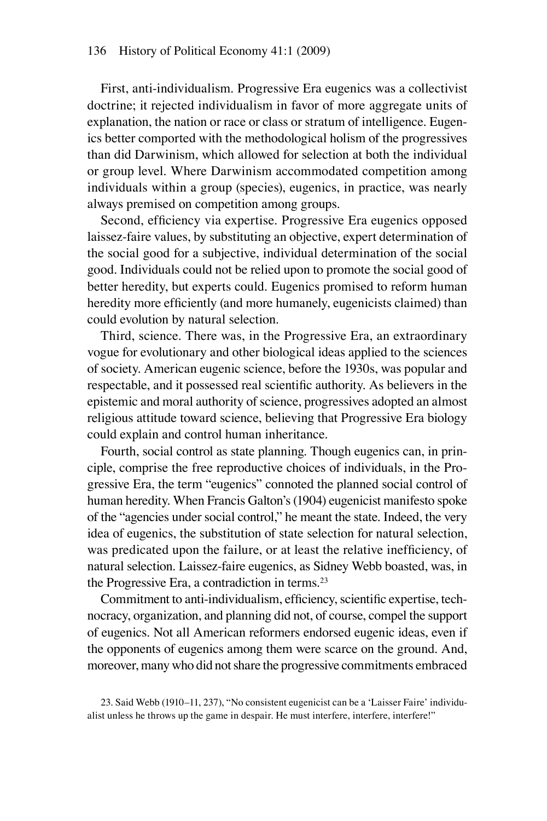First, anti-individualism. Progressive Era eugenics was a collectivist doctrine; it rejected individualism in favor of more aggregate units of explanation, the nation or race or class or stratum of intelligence. Eugenics better comported with the methodological holism of the progressives than did Darwinism, which allowed for selection at both the individual or group level. Where Darwinism accommodated competition among individuals within a group (species), eugenics, in practice, was nearly always premised on competition among groups.

Second, efficiency via expertise. Progressive Era eugenics opposed laissez-faire values, by substituting an objective, expert determination of the social good for a subjective, individual determination of the social good. Individuals could not be relied upon to promote the social good of better heredity, but experts could. Eugenics promised to reform human heredity more efficiently (and more humanely, eugenicists claimed) than could evolution by natural selection.

Third, science. There was, in the Progressive Era, an extraordinary vogue for evolutionary and other biological ideas applied to the sciences of society. American eugenic science, before the 1930s, was popular and respectable, and it possessed real scientific authority. As believers in the epistemic and moral authority of science, progressives adopted an almost religious attitude toward science, believing that Progressive Era biology could explain and control human inheritance.

Fourth, social control as state planning. Though eugenics can, in principle, comprise the free reproductive choices of individuals, in the Progressive Era, the term "eugenics" connoted the planned social control of human heredity. When Francis Galton's (1904) eugenicist manifesto spoke of the "agencies under social control," he meant the state. Indeed, the very idea of eugenics, the substitution of state selection for natural selection, was predicated upon the failure, or at least the relative inefficiency, of natural selection. Laissez-faire eugenics, as Sidney Webb boasted, was, in the Progressive Era, a contradiction in terms.<sup>23</sup>

Commitment to anti-individualism, efficiency, scientific expertise, technocracy, organization, and planning did not, of course, compel the support of eugenics. Not all American reformers endorsed eugenic ideas, even if the opponents of eugenics among them were scarce on the ground. And, moreover, many who did not share the progressive commitments embraced

<sup>23.</sup> Said Webb (1910–11, 237), "No consistent eugenicist can be a 'Laisser Faire' individualist unless he throws up the game in despair. He must interfere, interfere, interfere!"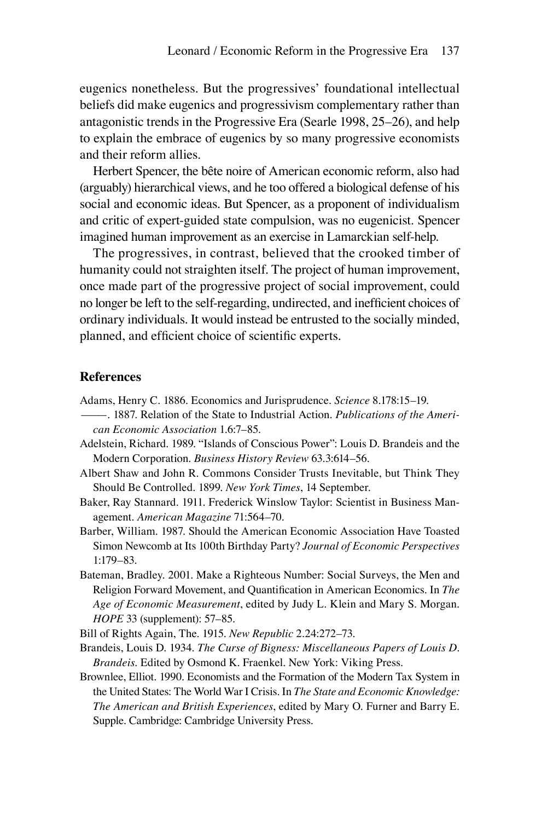eugenics nonetheless. But the progressives' foundational intellectual beliefs did make eugenics and progressivism complementary rather than antagonistic trends in the Progressive Era (Searle 1998, 25–26), and help to explain the embrace of eugenics by so many progressive economists and their reform allies.

Herbert Spencer, the bête noire of American economic reform, also had (arguably) hierarchical views, and he too offered a biological defense of his social and economic ideas. But Spencer, as a proponent of individualism and critic of expert-guided state compulsion, was no eugenicist. Spencer imagined human improvement as an exercise in Lamarckian self-help.

The progressives, in contrast, believed that the crooked timber of humanity could not straighten itself. The project of human improvement, once made part of the progressive project of social improvement, could no longer be left to the self-regarding, undirected, and inefficient choices of ordinary individuals. It would instead be entrusted to the socially minded, planned, and efficient choice of scientific experts.

#### **References**

Adams, Henry C. 1886. Economics and Jurisprudence. *Science* 8.178:15–19.

- ———. 1887. Relation of the State to Industrial Action. *Publications of the American Economic Association* 1.6:7–85.
- Adelstein, Richard. 1989. "Islands of Conscious Power": Louis D. Brandeis and the Modern Corporation. *Business History Review* 63.3:614–56.
- Albert Shaw and John R. Commons Consider Trusts Inevitable, but Think They Should Be Controlled. 1899. *New York Times*, 14 September.
- Baker, Ray Stannard. 1911. Frederick Winslow Taylor: Scientist in Business Management. *American Magazine* 71:564–70.
- Barber, William. 1987. Should the American Economic Association Have Toasted Simon Newcomb at Its 100th Birthday Party? *Journal of Economic Perspectives* 1:179–83.
- Bateman, Bradley. 2001. Make a Righteous Number: Social Surveys, the Men and Religion Forward Movement, and Quantification in American Economics. In *The Age of Economic Measurement*, edited by Judy L. Klein and Mary S. Morgan. *HOPE* 33 (supplement): 57–85.

Bill of Rights Again, The. 1915. *New Republic* 2.24:272–73.

- Brandeis, Louis D. 1934. *The Curse of Bigness: Miscellaneous Papers of Louis D. Brandeis*. Edited by Osmond K. Fraenkel. New York: Viking Press.
- Brownlee, Elliot. 1990. Economists and the Formation of the Modern Tax System in the United States: The World War I Crisis. In *The State and Economic Knowledge: The American and British Experiences*, edited by Mary O. Furner and Barry E. Supple. Cambridge: Cambridge University Press.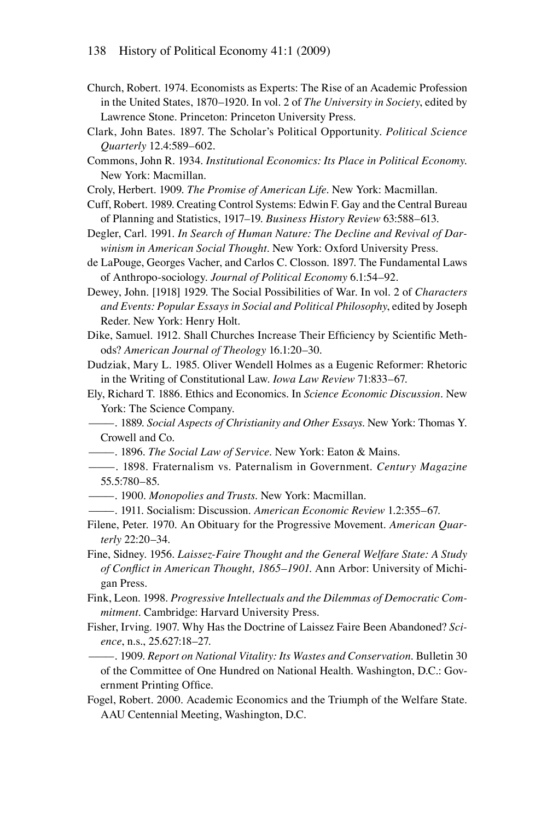- Church, Robert. 1974. Economists as Experts: The Rise of an Academic Profession in the United States, 1870–1920. In vol. 2 of *The University in Society*, edited by Lawrence Stone. Princeton: Princeton University Press.
- Clark, John Bates. 1897. The Scholar's Political Opportunity. *Political Science Quarterly* 12.4:589–602.
- Commons, John R. 1934. *Institutional Economics: Its Place in Political Economy*. New York: Macmillan.
- Croly, Herbert. 1909. *The Promise of American Life*. New York: Macmillan.
- Cuff, Robert. 1989. Creating Control Systems: Edwin F. Gay and the Central Bureau of Planning and Statistics, 1917–19. *Business History Review* 63:588–613.
- Degler, Carl. 1991. *In Search of Human Nature: The Decline and Revival of Darwinism in American Social Thought*. New York: Oxford University Press.
- de LaPouge, Georges Vacher, and Carlos C. Closson. 1897. The Fundamental Laws of Anthropo-sociology. *Journal of Political Economy* 6.1:54–92.
- Dewey, John. [1918] 1929. The Social Possibilities of War. In vol. 2 of *Characters and Events: Popular Essays in Social and Political Philosophy*, edited by Joseph Reder. New York: Henry Holt.
- Dike, Samuel. 1912. Shall Churches Increase Their Efficiency by Scientific Methods? *American Journal of Theology* 16.1:20–30.
- Dudziak, Mary L. 1985. Oliver Wendell Holmes as a Eugenic Reformer: Rhetoric in the Writing of Constitutional Law. *Iowa Law Review* 71:833–67.
- Ely, Richard T. 1886. Ethics and Economics. In *Science Economic Discussion.* New York: The Science Company.
- ———. 1889. *Social Aspects of Christianity and Other Essays*. New York: Thomas Y. Crowell and Co.
- ———. 1896. *The Social Law of Service*. New York: Eaton & Mains.
- ———. 1898. Fraternalism vs. Paternalism in Government. *Century Magazine*  55.5:780–85.
- ———. 1900. *Monopolies and Trusts*. New York: Macmillan.
- ———. 1911. Socialism: Discussion. *American Economic Review* 1.2:355–67.
- Filene, Peter. 1970. An Obituary for the Progressive Movement. *American Quarterly* 22:20–34.
- Fine, Sidney. 1956. *Laissez-Faire Thought and the General Welfare State: A Study of Confl ict in American Thought, 1865–1901*. Ann Arbor: University of Michigan Press.
- Fink, Leon. 1998. *Progressive Intellectuals and the Dilemmas of Democratic Commitment*. Cambridge: Harvard University Press.
- Fisher, Irving. 1907. Why Has the Doctrine of Laissez Faire Been Abandoned? *Science*, n.s., 25.627:18–27.
- ———. 1909. *Report on National Vitality: Its Wastes and Conservation*. Bulletin 30 of the Committee of One Hundred on National Health. Washington, D.C.: Government Printing Office.
- Fogel, Robert. 2000. Academic Economics and the Triumph of the Welfare State. AAU Centennial Meeting, Washington, D.C.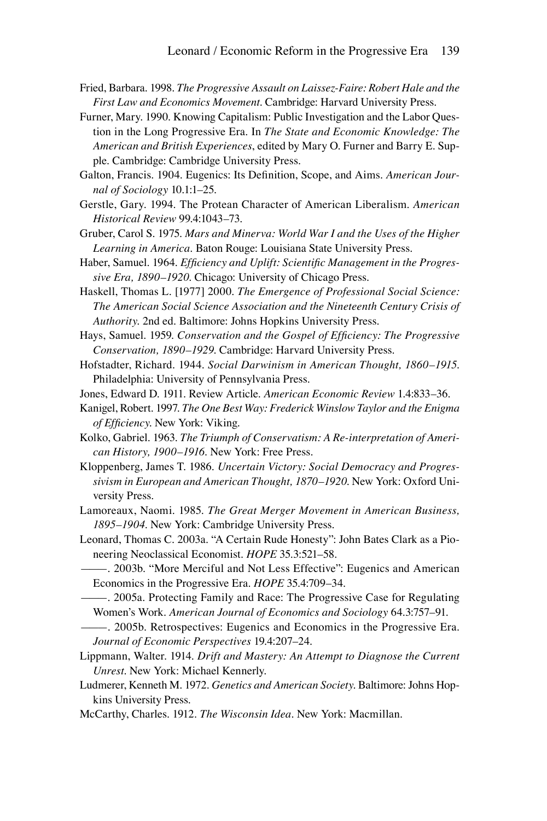- Fried, Barbara. 1998. *The Progressive Assault on Laissez-Faire: Robert Hale and the First Law and Economics Movement*. Cambridge: Harvard University Press.
- Furner, Mary. 1990. Knowing Capitalism: Public Investigation and the Labor Question in the Long Progressive Era. In *The State and Economic Knowledge: The American and British Experiences*, edited by Mary O. Furner and Barry E. Supple. Cambridge: Cambridge University Press.
- Galton, Francis. 1904. Eugenics: Its Definition, Scope, and Aims. American Jour*nal of Sociology* 10.1:1–25.
- Gerstle, Gary. 1994. The Protean Character of American Liberalism. *American Historical Review* 99.4:1043–73.
- Gruber, Carol S. 1975. *Mars and Minerva: World War I and the Uses of the Higher Learning in America*. Baton Rouge: Louisiana State University Press.
- Haber, Samuel. 1964. *Efficiency and Uplift: Scientific Management in the Progressive Era, 1890–1920*. Chicago: University of Chicago Press.
- Haskell, Thomas L. [1977] 2000. *The Emergence of Professional Social Science: The American Social Science Association and the Nineteenth Century Crisis of Authority*. 2nd ed. Baltimore: Johns Hopkins University Press.
- Hays, Samuel. 1959. *Conservation and the Gospel of Efficiency: The Progressive Conservation, 1890–1929*. Cambridge: Harvard University Press.
- Hofstadter, Richard. 1944. *Social Darwinism in American Thought, 1860–1915*. Philadelphia: University of Pennsylvania Press.
- Jones, Edward D. 1911. Review Article. *American Economic Review* 1.4:833–36.
- Kanigel, Robert. 1997. *The One Best Way: Frederick Winslow Taylor and the Enigma of Effi ciency*. New York: Viking.
- Kolko, Gabriel. 1963. *The Triumph of Conservatism: A Re-interpretation of American History, 1900–1916*. New York: Free Press.
- Kloppenberg, James T. 1986. *Uncertain Victory: Social Democracy and Progressivism in European and American Thought, 1870–1920*. New York: Oxford University Press.
- Lamoreaux, Naomi. 1985. *The Great Merger Movement in American Business, 1895–1904*. New York: Cambridge University Press.
- Leonard, Thomas C. 2003a. "A Certain Rude Honesty": John Bates Clark as a Pioneering Neoclassical Economist. *HOPE* 35.3:521–58.
	- ———. 2003b. "More Merciful and Not Less Effective": Eugenics and American Economics in the Progressive Era. *HOPE* 35.4:709–34.
	- $-$ . 2005a. Protecting Family and Race: The Progressive Case for Regulating Women's Work. *American Journal of Economics and Sociology* 64.3:757–91.
- ———. 2005b. Retrospectives: Eugenics and Economics in the Progressive Era. *Journal of Economic Perspectives* 19.4:207–24.
- Lippmann, Walter. 1914. *Drift and Mastery: An Attempt to Diagnose the Current Unrest*. New York: Michael Kennerly.
- Ludmerer, Kenneth M. 1972. *Genetics and American Society*. Baltimore: Johns Hopkins University Press.
- McCarthy, Charles. 1912. *The Wisconsin Idea*. New York: Macmillan.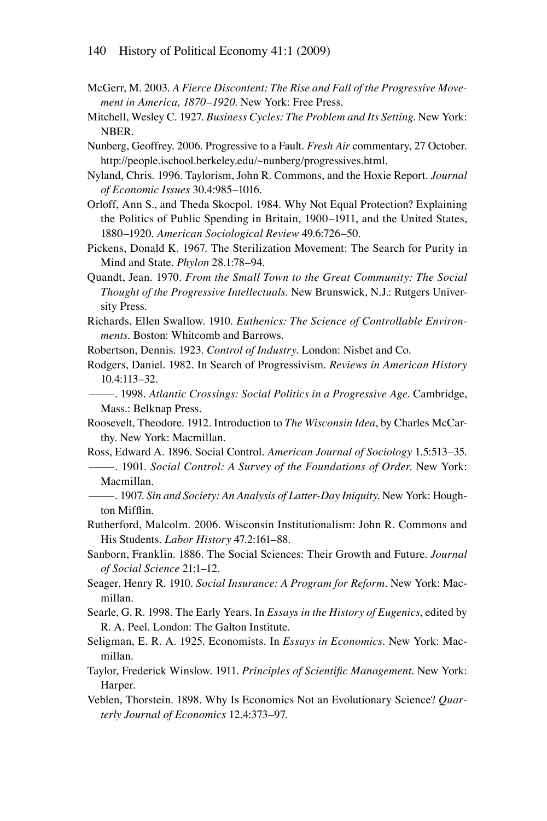- McGerr, M. 2003. *A Fierce Discontent: The Rise and Fall of the Progressive Movement in America, 1870–1920*. New York: Free Press.
- Mitchell, Wesley C. 1927. *Business Cycles: The Problem and Its Setting*. New York: NBER.
- Nunberg, Geoffrey. 2006. Progressive to a Fault. *Fresh Air* commentary, 27 October. http://people.ischool.berkeley.edu/~nunberg/progressives.html.
- Nyland, Chris. 1996. Taylorism, John R. Commons, and the Hoxie Report. *Journal of Economic Issues* 30.4:985–1016.
- Orloff, Ann S., and Theda Skocpol. 1984. Why Not Equal Protection? Explaining the Politics of Public Spending in Britain, 1900–1911, and the United States, 1880–1920. *American Sociological Review* 49.6:726–50.
- Pickens, Donald K. 1967. The Sterilization Movement: The Search for Purity in Mind and State. *Phylon* 28.1:78–94.
- Quandt, Jean. 1970. *From the Small Town to the Great Community: The Social Thought of the Progressive Intellectuals*. New Brunswick, N.J.: Rutgers University Press.
- Richards, Ellen Swallow. 1910. *Euthenics: The Science of Controllable Environments*. Boston: Whitcomb and Barrows.
- Robertson, Dennis. 1923. *Control of Industry*. London: Nisbet and Co.
- Rodgers, Daniel. 1982. In Search of Progressivism. *Reviews in American History* 10.4:113–32.
- ———. 1998. *Atlantic Crossings: Social Politics in a Progressive Age*. Cambridge, Mass.: Belknap Press.
- Roosevelt, Theodore. 1912. Introduction to *The Wisconsin Idea*, by Charles McCarthy. New York: Macmillan.
- Ross, Edward A. 1896. Social Control. *American Journal of Sociology* 1.5:513–35. ———. 1901. *Social Control: A Survey of the Foundations of Order*. New York:
- Macmillan.
- ———. 1907. *Sin and Society: An Analysis of Latter-Day Iniquity*. New York: Houghton Mifflin.
- Rutherford, Malcolm. 2006. Wisconsin Institutionalism: John R. Commons and His Students. *Labor History* 47.2:161–88.
- Sanborn, Franklin. 1886. The Social Sciences: Their Growth and Future. *Journal of Social Science* 21:1–12.
- Seager, Henry R. 1910. *Social Insurance: A Program for Reform*. New York: Macmillan.
- Searle, G. R. 1998. The Early Years. In *Essays in the History of Eugenics*, edited by R. A. Peel. London: The Galton Institute.
- Seligman, E. R. A. 1925. Economists. In *Essays in Economics*. New York: Macmillan.
- Taylor, Frederick Winslow. 1911. Principles of Scientific Management. New York: Harper.
- Veblen, Thorstein. 1898. Why Is Economics Not an Evolutionary Science? *Quarterly Journal of Economics* 12.4:373–97.